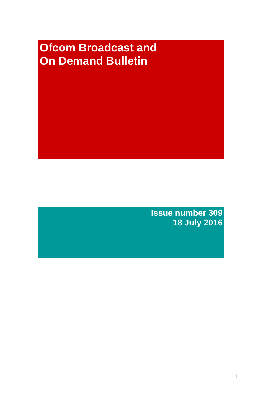# **Ofcom Broadcast and On Demand Bulletin**

**Issue number 309 18 July 2016**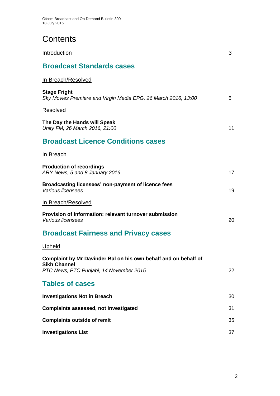# **Contents**

| Introduction                                                                                                                      | 3  |
|-----------------------------------------------------------------------------------------------------------------------------------|----|
| <b>Broadcast Standards cases</b>                                                                                                  |    |
| <u>In Breach/Resolved</u>                                                                                                         |    |
| <b>Stage Fright</b><br>Sky Movies Premiere and Virgin Media EPG, 26 March 2016, 13:00                                             | 5  |
| Resolved                                                                                                                          |    |
| The Day the Hands will Speak<br>Unity FM, 26 March 2016, 21:00                                                                    | 11 |
| <b>Broadcast Licence Conditions cases</b>                                                                                         |    |
| <u>In Breach</u>                                                                                                                  |    |
| <b>Production of recordings</b><br>ARY News, 5 and 8 January 2016                                                                 | 17 |
| Broadcasting licensees' non-payment of licence fees<br>Various licensees                                                          | 19 |
| <u>In Breach/Resolved</u>                                                                                                         |    |
| Provision of information: relevant turnover submission<br>Various licensees                                                       | 20 |
| <b>Broadcast Fairness and Privacy cases</b>                                                                                       |    |
| <u>Upheld</u>                                                                                                                     |    |
| Complaint by Mr Davinder Bal on his own behalf and on behalf of<br><b>Sikh Channel</b><br>PTC News, PTC Punjabi, 14 November 2015 | 22 |
| <b>Tables of cases</b>                                                                                                            |    |
| <b>Investigations Not in Breach</b>                                                                                               | 30 |
| Complaints assessed, not investigated                                                                                             | 31 |
| <b>Complaints outside of remit</b>                                                                                                | 35 |
| <b>Investigations List</b>                                                                                                        | 37 |
|                                                                                                                                   |    |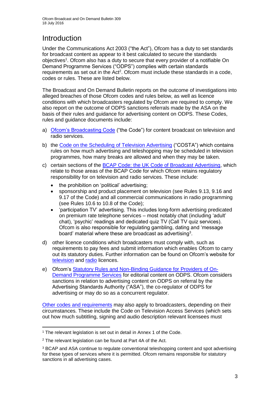## Introduction

Under the Communications Act 2003 ("the Act"), Ofcom has a duty to set standards for broadcast content as appear to it best calculated to secure the standards objectives<sup>1</sup>. Ofcom also has a duty to secure that every provider of a notifiable On Demand Programme Services ("ODPS") complies with certain standards requirements as set out in the Act<sup>2</sup>. Ofcom must include these standards in a code, codes or rules. These are listed below.

The Broadcast and On Demand Bulletin reports on the outcome of investigations into alleged breaches of those Ofcom codes and rules below, as well as licence conditions with which broadcasters regulated by Ofcom are required to comply. We also report on the outcome of ODPS sanctions referrals made by the ASA on the basis of their rules and guidance for advertising content on ODPS. These Codes, rules and guidance documents include:

- a) [Ofcom's Broadcasting Code](http://stakeholders.ofcom.org.uk/broadcasting/broadcast-codes/broadcast-code/) ("the Code") for content broadcast on television and radio services.
- b) the [Code on the Scheduling of Television Advertising](http://stakeholders.ofcom.org.uk/binaries/broadcast/other-codes/COSTA_April_2016.pdf) ("COSTA") which contains rules on how much advertising and teleshopping may be scheduled in television programmes, how many breaks are allowed and when they may be taken.
- c) certain sections of the [BCAP Code: the UK Code of Broadcast Advertising,](https://www.cap.org.uk/Advertising-Codes/Broadcast.aspx) which relate to those areas of the BCAP Code for which Ofcom retains regulatory responsibility for on television and radio services. These include:
	- the prohibition on 'political' advertising;
	- sponsorship and product placement on television (see Rules 9.13, 9.16 and 9.17 of the Code) and all commercial communications in radio programming (see Rules 10.6 to 10.8 of the Code);
	- 'participation TV' advertising. This includes long-form advertising predicated on premium rate telephone services – most notably chat (including 'adult' chat), 'psychic' readings and dedicated quiz TV (Call TV quiz services). Ofcom is also responsible for regulating gambling, dating and 'message board' material where these are broadcast as advertising<sup>3</sup>.
- d) other licence conditions which broadcasters must comply with, such as requirements to pay fees and submit information which enables Ofcom to carry out its statutory duties. Further information can be found on Ofcom's website for [television](http://licensing.ofcom.org.uk/tv-broadcast-licences/) and [radio](http://licensing.ofcom.org.uk/radio-broadcast-licensing/) licences.
- e) Ofcom's [Statutory Rules and Non-Binding Guidance for Providers of On-](http://stakeholders.ofcom.org.uk/binaries/broadcast/on-demand/rules-guidance/rules_and_guidance.pdf)[Demand Programme Services](http://stakeholders.ofcom.org.uk/binaries/broadcast/on-demand/rules-guidance/rules_and_guidance.pdf) for editorial content on ODPS. Ofcom considers sanctions in relation to advertising content on ODPS on referral by the Advertising Standards Authority ("ASA"), the co-regulator of ODPS for advertising or may do so as a concurrent regulator.

[Other codes and requirements](http://stakeholders.ofcom.org.uk/broadcasting/broadcast-codes/) may also apply to broadcasters, depending on their circumstances. These include the Code on Television Access Services (which sets out how much subtitling, signing and audio description relevant licensees must

<sup>1</sup> <sup>1</sup> The relevant legislation is set out in detail in Annex 1 of the Code.

<sup>&</sup>lt;sup>2</sup> The relevant legislation can be found at Part 4A of the Act.

<sup>3</sup> BCAP and ASA continue to regulate conventional teleshopping content and spot advertising for these types of services where it is permitted. Ofcom remains responsible for statutory sanctions in all advertising cases.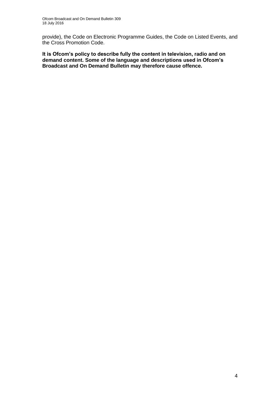provide), the Code on Electronic Programme Guides, the Code on Listed Events, and the Cross Promotion Code.

**It is Ofcom's policy to describe fully the content in television, radio and on demand content. Some of the language and descriptions used in Ofcom's Broadcast and On Demand Bulletin may therefore cause offence.**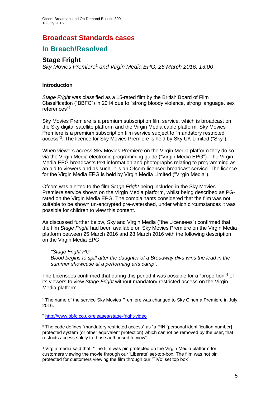## **Broadcast Standards cases**

## **In Breach/Resolved**

## **Stage Fright**

*Sky Movies Premiere*<sup>1</sup> *and Virgin Media EPG, 26 March 2016, 13:00*

## **Introduction**

*Stage Fright* was classified as a 15-rated film by the British Board of Film Classification ("BBFC") in 2014 due to "strong bloody violence, strong language, sex references"<sup>2</sup> .

Sky Movies Premiere is a premium subscription film service, which is broadcast on the Sky digital satellite platform and the Virgin Media cable platform. Sky Movies Premiere is a premium subscription film service subject to "mandatory restricted access"<sup>3</sup>. The licence for Sky Movies Premiere is held by Sky UK Limited ("Sky").

When viewers access Sky Movies Premiere on the Virgin Media platform they do so via the Virgin Media electronic programming guide ("Virgin Media EPG"). The Virgin Media EPG broadcasts text information and photographs relating to programming as an aid to viewers and as such, it is an Ofcom-licensed broadcast service. The licence for the Virgin Media EPG is held by Virgin Media Limited ("Virgin Media").

Ofcom was alerted to the film *Stage Fright* being included in the Sky Movies Premiere service shown on the Virgin Media platform, whilst being described as PGrated on the Virgin Media EPG. The complainants considered that the film was not suitable to be shown un-encrypted pre-watershed, under which circumstances it was possible for children to view this content.

As discussed further below, Sky and Virgin Media ("the Licensees") confirmed that the film *Stage Fright* had been available on Sky Movies Premiere on the Virgin Media platform between 25 March 2016 and 28 March 2016 with the following description on the Virgin Media EPG:

## *"Stage Fright PG*

1

*Blood begins to spill after the daughter of a Broadway diva wins the lead in the summer showcase at a performing arts camp".*

The Licensees confirmed that during this period it was possible for a "proportion"<sup>4</sup> of its viewers to view *Stage Fright* without mandatory restricted access on the Virgin Media platform.

<sup>1</sup> The name of the service Sky Movies Premiere was changed to Sky Cinema Premiere in July 2016.

<sup>2</sup> <http://www.bbfc.co.uk/releases/stage-fright-video>

<sup>3</sup> The code defines "mandatory restricted access" as "a PIN [personal identification number] protected system (or other equivalent protection) which cannot be removed by the user, that restricts access solely to those authorised to view".

<sup>4</sup> Virgin media said that: "The film was pin protected on the Virgin Media platform for customers viewing the movie through our 'Liberate' set-top-box. The film was not pin protected for customers viewing the film through our 'TiVo' set top box".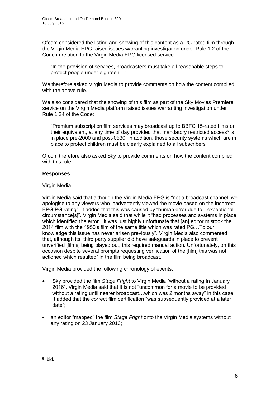Ofcom considered the listing and showing of this content as a PG-rated film through the Virgin Media EPG raised issues warranting investigation under Rule 1.2 of the Code in relation to the Virgin Media EPG licensed service:

"In the provision of services, broadcasters must take all reasonable steps to protect people under eighteen…".

We therefore asked Virgin Media to provide comments on how the content complied with the above rule.

We also considered that the showing of this film as part of the Sky Movies Premiere service on the Virgin Media platform raised issues warranting investigation under Rule 1.24 of the Code:

"Premium subscription film services may broadcast up to BBFC 15-rated films or their equivalent, at any time of day provided that mandatory restricted access<sup>5</sup> is in place pre-2000 and post-0530. In addition, those security systems which are in place to protect children must be clearly explained to all subscribers".

Ofcom therefore also asked Sky to provide comments on how the content complied with this rule.

## **Responses**

## Virgin Media

Virgin Media said that although the Virgin Media EPG is "not a broadcast channel, we apologise to any viewers who inadvertently viewed the movie based on the incorrect EPG PG rating". It added that this was caused by "human error due to…exceptional circumstance[s]". Virgin Media said that while it "had processes and systems in place which identified the error... it was just highly unfortunate that [an] editor mistook the 2014 film with the 1950's film of the same title which was rated PG…To our knowledge this issue has never arisen previously". Virgin Media also commented that, although its "third party supplier did have safeguards in place to prevent unverified [films] being played out, this required manual action. Unfortunately, on this occasion despite several prompts requesting verification of the [film] this was not actioned which resulted" in the film being broadcast.

Virgin Media provided the following chronology of events;

- Sky provided the film *Stage Fright* to Virgin Media "without a rating In January 2016". Virgin Media said that it is not "uncommon for a movie to be provided without a rating until nearer broadcast…which was 2 months away" in this case. It added that the correct film certification "was subsequently provided at a later date";
- an editor "mapped" the film *Stage Fright* onto the Virgin Media systems without any rating on 23 January 2016;

<sup>1</sup> 5 Ibid.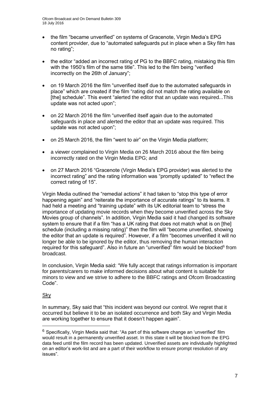- the film "became unverified" on systems of Gracenote, Virgin Media's EPG content provider, due to "automated safeguards put in place when a Sky film has no rating";
- the editor "added an incorrect rating of PG to the BBFC rating, mistaking this film with the 1950's film of the same title". This led to the film being "verified incorrectly on the 26th of January";
- on 19 March 2016 the film "unverified itself due to the automated safeguards in place" which are created if the film "rating did not match the rating available on [the] schedule". This event "alerted the editor that an update was required...This update was not acted upon";
- on 22 March 2016 the film "unverified itself again due to the automated safeguards in place and alerted the editor that an update was required. This update was not acted upon";
- on 25 March 2016, the film "went to air" on the Virgin Media platform;
- a viewer complained to Virgin Media on 26 March 2016 about the film being incorrectly rated on the Virgin Media EPG; and
- on 27 March 2016 "Gracenote (Virgin Media's EPG provider) was alerted to the incorrect rating" and the rating information was "promptly updated" to "reflect the correct rating of 15".

Virgin Media outlined the "remedial actions" it had taken to "stop this type of error happening again" and "reiterate the importance of accurate ratings" to its teams. It had held a meeting and "training update" with its UK editorial team to "stress the importance of updating movie records when they become unverified across the Sky Movies group of channels". In addition, Virgin Media said it had changed its software system to ensure that if a film "has a UK rating that does not match what is on [the] schedule (including a missing rating)" then the film will "become unverified, showing the editor that an update is required". However, if a film "becomes unverified it will no longer be able to be ignored by the editor, thus removing the human interaction required for this safeguard". Also in future an "unverified" film would be blocked<sup>6</sup> from broadcast.

In conclusion, Virgin Media said: "We fully accept that ratings information is important for parents/carers to make informed decisions about what content is suitable for minors to view and we strive to adhere to the BBFC ratings and Ofcom Broadcasting Code".

## Sky

1

In summary, Sky said that "this incident was beyond our control. We regret that it occurred but believe it to be an isolated occurrence and both Sky and Virgin Media are working together to ensure that it doesn't happen again".

 $6$  Specifically, Virgin Media said that: "As part of this software change an 'unverified' film would result in a permanently unverified asset. In this state it will be blocked from the EPG data feed until the film record has been updated. Unverified assets are individually highlighted on an editor's work-list and are a part of their workflow to ensure prompt resolution of any issues".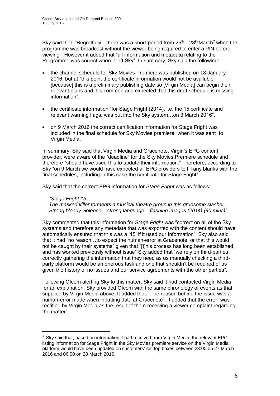Sky said that: "Regretfully...there was a short-period from  $25<sup>th</sup> - 28<sup>th</sup>$  March<sup>7</sup> when the programme was broadcast without the viewer being required to enter a PIN before viewing". However it added that "all information and metadata relating to the Programme was correct when it left Sky". In summary, Sky said the following:

- the channel schedule for Sky Movies Premiere was published on 18 January 2016, but at "this point the certificate information would not be available [because] this is a preliminary publishing date so [Virgin Media] can begin their relevant plans and it is common and expected that this draft schedule is missing information";
- the certificate information "for Stage Fright (2014), i.e. the 15 certificate and relevant warning flags, was put into the Sky system…on 3 March 2016".
- on 9 March 2016 the correct certification information for Stage Fright was included in the final schedule for Sky Movies premiere "when it was sent" to Virgin Media.

In summary, Sky said that Virgin Media and Gracenote, Virgin's EPG content provider, were aware of the "deadline" for the Sky Movies Premiere schedule and therefore "should have used this to update their information." Therefore, according to Sky "on 9 March we would have expected all EPG providers to fill any blanks with the final schedules, including in this case the certificate for Stage Fright".

Sky said that the correct EPG information for *Stage Fright* was as follows:

*"Stage Fright 15 The masked killer torments a musical theatre group in this gruesome slasher. Strong bloody violence – strong language – flashing images (2014) (90 mins)"*.

Sky commented that this information for *Stage Fright* was "correct on all of the Sky systems and therefore any metadata that was exported with the content should have automatically ensured that this was a '15' if it used our Information". Sky also said that it had "no reason…to expect the human-error at Gracenote, or that this would not be caught by their systems" given that "[t]his process has long been established, and has worked previously without issue" Sky added that "we rely on third-parties correctly gathering the information that they need as us manually checking a thirdparty platform would be an onerous task and one that shouldn't be required of us given the history of no issues and our service agreements with the other parties".

Following Ofcom alerting Sky to this matter, Sky said it had contacted Virgin Media for an explanation. Sky provided Ofcom with the same chronology of events as that supplied by Virgin Media above. It added that: "The reason behind the issue was a human-error made when inputting data at Gracenote". It added that the error "was rectified by Virgin Media as the result of them receiving a viewer complaint regarding the matter".

1

 $7$  Sky said that, based on information it had received from Virgin Media, the relevant EPG listing information for Stage Fright in the Sky Movies premiere service on the Virgin Media platform would have been updated on customers' set top boxes between 23:00 on 27 March 2016 and 06:00 on 28 March 2016.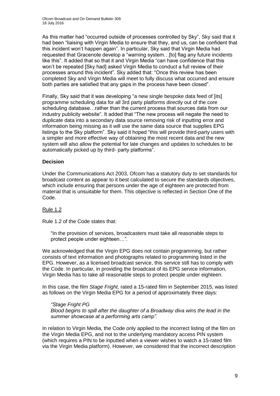As this matter had "occurred outside of processes controlled by Sky", Sky said that it had been "liaising with Virgin Media to ensure that they, and us, can be confident that this incident won't happen again". In particular, Sky said that Virgin Media had requested that Gracenote develop a "warning system…[to] flag any future incidents like this". It added that so that it and Virgin Media "can have confidence that this won't be repeated [Sky had] asked Virgin Media to conduct a full review of their processes around this incident". Sky added that: "Once this review has been completed Sky and Virgin Media will meet to fully discuss what occurred and ensure both parties are satisfied that any gaps in the process have been closed".

Finally, Sky said that it was developing "a new single bespoke data feed of [its] programme scheduling data for all 3rd party platforms directly out of the core scheduling database…rather than the current process that sources data from our industry publicity website". It added that "The new process will negate the need to duplicate data into a secondary data source removing risk of inputting error and information being missing as it will use the same data source that supplies EPG listings to the Sky platform". Sky said it hoped "this will provide third-party users with a simpler and more effective way of obtaining the most recent data and the new system will also allow the potential for late changes and updates to schedules to be automatically picked up by third- party platforms".

## **Decision**

Under the Communications Act 2003, Ofcom has a statutory duty to set standards for broadcast content as appear to it best calculated to secure the standards objectives, which include ensuring that persons under the age of eighteen are protected from material that is unsuitable for them. This objective is reflected in Section One of the Code.

## Rule 1.2

Rule 1.2 of the Code states that:

"In the provision of services, broadcasters must take all reasonable steps to protect people under eighteen…"*.* 

We acknowledged that the Virgin EPG does not contain programming, but rather consists of text information and photographs related to programming listed in the EPG. However, as a licensed broadcast service, this service still has to comply with the Code. In particular, in providing the broadcast of its EPG service information, Virgin Media has to take all reasonable steps to protect people under eighteen.

In this case, the film *Stage Fright*, rated a 15-rated film in September 2015, was listed as follows on the Virgin Media EPG for a period of approximately three days:

#### *"Stage Fright PG Blood begins to spill after the daughter of a Broadway diva wins the lead in the summer showcase at a performing arts camp".*

In relation to Virgin Media, the Code only applied to the incorrect listing of the film on the Virgin Media EPG, and not to the underlying mandatory access PIN system (which requires a PIN to be inputted when a viewer wishes to watch a 15-rated film via the Virgin Media platform). However, we considered that the incorrect description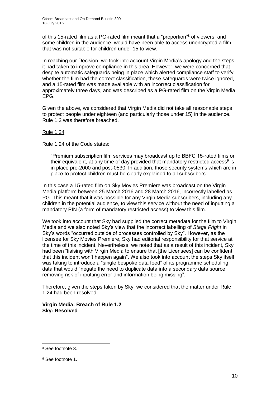of this 15-rated film as a PG-rated film meant that a "proportion"<sup>8</sup> of viewers, and some children in the audience, would have been able to access unencrypted a film that was not suitable for children under 15 to view.

In reaching our Decision, we took into account Virgin Media's apology and the steps it had taken to improve compliance in this area. However, we were concerned that despite automatic safeguards being in place which alerted compliance staff to verify whether the film had the correct classification, these safeguards were twice ignored, and a 15-rated film was made available with an incorrect classification for approximately three days, and was described as a PG-rated film on the Virgin Media EPG.

Given the above, we considered that Virgin Media did not take all reasonable steps to protect people under eighteen (and particularly those under 15) in the audience. Rule 1.2 was therefore breached.

## Rule 1.24

Rule 1.24 of the Code states:

"Premium subscription film services may broadcast up to BBFC 15-rated films or their equivalent, at any time of day provided that mandatory restricted access<sup>9</sup> is in place pre-2000 and post-0530. In addition, those security systems which are in place to protect children must be clearly explained to all subscribers".

In this case a 15-rated film on Sky Movies Premiere was broadcast on the Virgin Media platform between 25 March 2016 and 28 March 2016, incorrectly labelled as PG. This meant that it was possible for any Virgin Media subscribers, including any children in the potential audience, to view this service without the need of inputting a mandatory PIN (a form of mandatory restricted access) to view this film.

We took into account that Sky had supplied the correct metadata for the film to Virgin Media and we also noted Sky's view that the incorrect labelling of *Stage Fright* in Sky's words "occurred outside of processes controlled by Sky". However, as the licensee for Sky Movies Premiere, Sky had editorial responsibility for that service at the time of this incident. Nevertheless, we noted that as a result of this incident, Sky had been "liaising with Virgin Media to ensure that [the Licensees] can be confident that this incident won't happen again". We also took into account the steps Sky itself was taking to introduce a "single bespoke data feed" of its programme scheduling data that would "negate the need to duplicate data into a secondary data source removing risk of inputting error and information being missing".

Therefore, given the steps taken by Sky, we considered that the matter under Rule 1.24 had been resolved.

**Virgin Media: Breach of Rule 1.2 Sky: Resolved**

1

<sup>8</sup> See footnote 3.

<sup>9</sup> See footnote 1.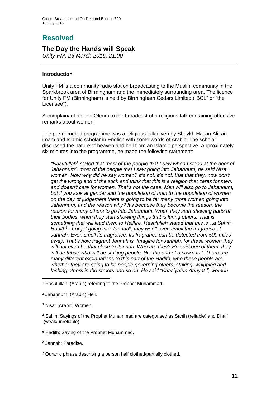## **Resolved**

## **The Day the Hands will Speak**

*Unity FM, 26 March 2016, 21:00*

## **Introduction**

Unity FM is a community radio station broadcasting to the Muslim community in the Sparkbrook area of Birmingham and the immediately surrounding area. The licence for Unity FM (Birmingham) is held by Birmingham Cedars Limited ("BCL" or "the Licensee").

A complainant alerted Ofcom to the broadcast of a religious talk containing offensive remarks about women.

The pre-recorded programme was a religious talk given by Shaykh Hasan Ali, an imam and Islamic scholar in English with some words of Arabic. The scholar discussed the nature of heaven and hell from an Islamic perspective. Approximately six minutes into the programme, he made the following statement:

*"Rasulullah*<sup>1</sup> *stated that most of the people that I saw when I stood at the door of*  Jahannum<sup>2</sup>, most of the people that I saw going into Jahannum, he said Nisa<sup>3</sup>, *women. Now why did he say women? It's not, it's not, that that they, now don't get the wrong end of the stick and think that this is a religion that cares for men, and doesn't care for women. That's not the case. Men will also go to Jahannum, but if you look at gender and the population of men to the population of women on the day of judgement there is going to be far many more women going into Jahannum, and the reason why? It's because they become the reason, the reason for many others to go into Jahannum. When they start showing parts of their bodies, when they start showing things that is luring others. That is something that will lead them to Hellfire. Rasulullah stated that this is…a Sahih*<sup>4</sup> Hadith<sup>5</sup>...Forget going into Jannah<sup>6</sup>, they won't even smell the fragrance of *Jannah. Even smell its fragrance. Its fragrance can be detected from 500 miles away. That's how fragrant Jannah is. Imagine for Jannah, for these women they will not even be that close to Jannah. Who are they? He said one of them, they will be those who will be striking people, like the end of a cow's tail. There are many different explanations to this part of the Hadith, who these people are, whether they are going to be people governing others, striking, whipping and*  lashing others in the streets and so on. He said "Kaasiyatun Aariyat<sup>"</sup>", women

<sup>5</sup> Hadith: Saying of the Prophet Muhammad.

<sup>6</sup> Jannah: Paradise.

<sup>7</sup> Quranic phrase describing a person half clothed/partially clothed.

<sup>1</sup> <sup>1</sup> Rasulullah: (Arabic) referring to the Prophet Muhammad.

<sup>2</sup> Jahannum: (Arabic) Hell.

<sup>3</sup> Nisa: (Arabic) Women.

<sup>4</sup> Sahih: Sayings of the Prophet Muhammad are categorised as Sahih (reliable) and Dhaif (weak/unreliable).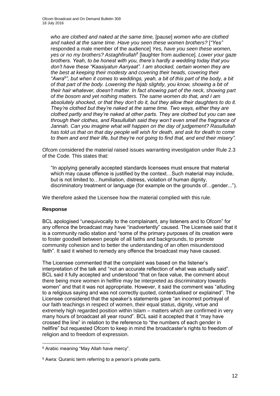*who are clothed and naked at the same time,* [pause] *women who are clothed and naked at the same time. Have you seen these women brothers?* [*"Yes"*  responded a male member of the audience] *Yes, have you seen these women, yes or no my brothers? Astaghfirullah*<sup>8</sup> [laughter from audience]*. Lower your gaze brothers. Yeah, to be honest with you, there's hardly a wedding today that you don't have these "Kaasiyatun Aariyaat". I am shocked, certain women they are the best at keeping their modesty and covering their heads, covering their "Awra*<sup>9</sup> *", but when it comes to weddings, yeah, a bit of this part of the body, a bit of that part of the body. Lowering the hijab slightly, you know, showing a bit of their hair whatever, doesn't matter. In fact showing part of the neck, showing part of the bosom and yet nothing matters. The same women do that, and I am absolutely shocked, or that they don't do it, but they allow their daughters to do it. They're clothed but they're naked at the same time. Two ways, either they are clothed partly and they're naked at other parts. They are clothed but you can see through their clothes, and Rasullullah said they won't even smell the fragrance of Jannah. Can you imagine what will happen on the day of judgement? Rasullullah has told us that on that day people will wish for death, and ask for death to come to them and end their life, but they're not going to find that, and end their misery".*

Ofcom considered the material raised issues warranting investigation under Rule 2.3 of the Code. This states that:

"In applying generally accepted standards licensees must ensure that material which may cause offence is justified by the context…Such material may include, but is not limited to…humiliation, distress, violation of human dignity, discriminatory treatment or language (for example on the grounds of…gender...").

We therefore asked the Licensee how the material complied with this rule.

## **Response**

1

BCL apologised "unequivocally to the complainant, any listeners and to Ofcom" for any offence the broadcast may have "inadvertently" caused. The Licensee said that it is a community radio station and "some of the primary purposes of its creation were to foster goodwill between people of all faiths and backgrounds, to promote community cohesion and to better the understanding of an often misunderstood faith". It said it wished to remedy any offence the broadcast may have caused.

The Licensee commented that the complaint was based on the listener's interpretation of the talk and "not an accurate reflection of what was actually said"*.* BCL said it fully accepted and understood "that on face value, the comment about there being more women in hellfire may be interpreted as discriminatory towards women" and that it was not appropriate. However, it said the comment was "alluding to a religious saying and was not correctly quoted, contextualised or explained". The Licensee considered that the speaker's statements gave "an incorrect portrayal of our faith teachings in respect of women, their equal status, dignity, virtue and extremely high regarded position within Islam – matters which are confirmed in very many hours of broadcast all year round". BCL said it accepted that it "may have crossed the line" in relation to the reference to "the numbers of each gender in hellfire" but requested Ofcom to keep in mind the broadcaster's rights to freedom of religion and to freedom of expression.

<sup>8</sup> Arabic meaning "May Allah have mercy".

<sup>&</sup>lt;sup>9</sup> Awra: Quranic term referring to a person's private parts.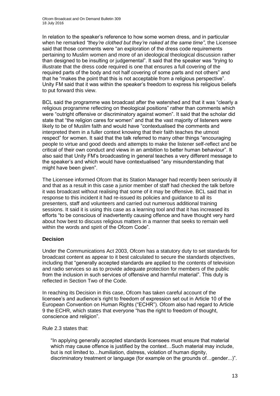In relation to the speaker's reference to how some women dress, and in particular when he remarked *"they're clothed but they're naked at the same time"*, the Licensee said that those comments were "an exploration of the dress code requirements pertaining to Muslim women and more of an ideological theological discussion rather than designed to be insulting or judgemental". It said that the speaker was "trying to illustrate that the dress code required is one that ensures a full covering of the required parts of the body and not half covering of some parts and not others" and that he "makes the point that this is not acceptable from a religious perspective". Unity FM said that it was within the speaker's freedom to express his religious beliefs to put forward this view.

BCL said the programme was broadcast after the watershed and that it was "clearly a religious programme reflecting on theological positions" rather than comments which were "outright offensive or discriminatory against women". It said that the scholar did state that "the religion cares for women" and that the vast majority of listeners were likely to be of Muslim faith and would have "contextualised the comments and interpreted them in a fuller context knowing that their faith teaches the utmost respect" for women. It said that the talk referred to many other things "encouraging people to virtue and good deeds and attempts to make the listener self-reflect and be critical of their own conduct and views in an ambition to better human behaviour". It also said that Unity FM's broadcasting in general teaches a very different message to the speaker's and which would have contextualised "any misunderstanding that might have been given".

The Licensee informed Ofcom that its Station Manager had recently been seriously ill and that as a result in this case a junior member of staff had checked the talk before it was broadcast without realising that some of it may be offensive. BCL said that in response to this incident it had re-issued its policies and guidance to all its presenters, staff and volunteers and carried out numerous additional training sessions. It said it is using this case as a learning tool and that it has increased its efforts "to be conscious of inadvertently causing offence and have thought very hard about how best to discuss religious matters in a manner that seeks to remain well within the words and spirit of the Ofcom Code".

## **Decision**

Under the Communications Act 2003, Ofcom has a statutory duty to set standards for broadcast content as appear to it best calculated to secure the standards objectives, including that "generally accepted standards are applied to the contents of television and radio services so as to provide adequate protection for members of the public from the inclusion in such services of offensive and harmful material". This duty is reflected in Section Two of the Code.

In reaching its Decision in this case, Ofcom has taken careful account of the licensee's and audience's right to freedom of expression set out in Article 10 of the European Convention on Human Rights ("ECHR"). Ofcom also had regard to Article 9 the ECHR, which states that everyone "has the right to freedom of thought, conscience and religion".

Rule 2.3 states that:

"In applying generally accepted standards licensees must ensure that material which may cause offence is justified by the context…Such material may include, but is not limited to…humiliation, distress, violation of human dignity, discriminatory treatment or language (for example on the grounds of…gender...)".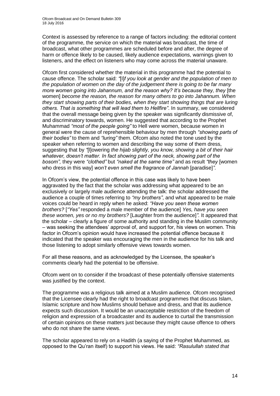Context is assessed by reference to a range of factors including: the editorial content of the programme, the service on which the material was broadcast, the time of broadcast, what other programmes are scheduled before and after, the degree of harm or offence likely to be caused, likely audience expectations, warnings given to listeners, and the effect on listeners who may come across the material unaware.

Ofcom first considered whether the material in this programme had the potential to cause offence. The scholar said: *"*[I]*f you look at gender and the population of men to the population of women on the day of the judgement there is going to be far many more women going into Jahannum, and the reason why? It's because they, they [the* women] *become the reason, the reason for many others to go into Jahannum. When they start showing parts of their bodies, when they start showing things that are luring others. That is something that will lead them to Hellfire"*. In summary, we considered that the overall message being given by the speaker was significantly dismissive of, and discriminatory towards, women. He suggested that according to the Prophet Muhammad *"most of the people going"* to Hell were women, because women in general were the cause of reprehensible behaviour by men through *"showing parts of their bodies"* to them and *"luring"* them. Ofcom also noted the tone used by the speaker when referring to women and describing the way some of them dress, suggesting that by *"*[l]owering *the hijab slightly, you know, showing a bit of their hair whatever, doesn't matter. In fact showing part of the neck, showing part of the bosom",* they were *"clothed"* but *"naked at the same time"* and as result *"they* [women who dress in this way] *won't even smell the fragrance of Jannah* [paradise]<sup>"</sup>.

In Ofcom's view, the potential offence in this case was likely to have been aggravated by the fact that the scholar was addressing what appeared to be an exclusively or largely male audience attending the talk: the scholar addressed the audience a couple of times referring to *"my brothers"*, and what appeared to be male voices could be heard in reply when he asked: *"Have you seen these women brothers?* [*"Yes"* responded a male member of the audience] *Yes, have you seen these women, yes or no my brothers?* [Laughter from the audience]*".* It appeared that the scholar – clearly a figure of some authority and standing in the Muslim community – was seeking the attendees' approval of, and support for, his views on women. This factor in Ofcom's opinion would have increased the potential offence because it indicated that the speaker was encouraging the men in the audience for his talk and those listening to adopt similarly offensive views towards women.

For all these reasons, and as acknowledged by the Licensee, the speaker's comments clearly had the potential to be offensive.

Ofcom went on to consider if the broadcast of these potentially offensive statements was justified by the context.

The programme was a religious talk aimed at a Muslim audience. Ofcom recognised that the Licensee clearly had the right to broadcast programmes that discuss Islam, Islamic scripture and how Muslims should behave and dress, and that its audience expects such discussion. It would be an unacceptable restriction of the freedom of religion and expression of a broadcaster and its audience to curtail the transmission of certain opinions on these matters just because they might cause offence to others who do not share the same views.

The scholar appeared to rely on a Hadith (a saying of the Prophet Muhammed, as opposed to the Qu'ran itself) to support his views. He said: *"Rasulullah stated that*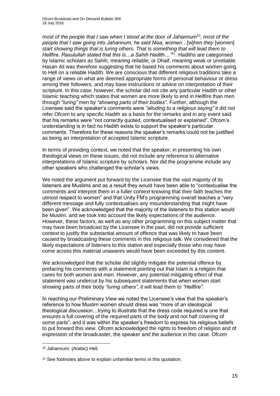*most of the people that I saw when I stood at the door of Jahannum*<sup>10</sup>*, most of the people that I saw going into Jahannum, he said Nisa, women…*[w]*hen they* [women] *start showing things that is luring others. That is something that will lead them to Hellfire. Rasulullah stated that this is…a Sahih Hadith…"*<sup>11</sup>. Hadiths are categorised by Islamic scholars as Sahih, meaning reliable, or Dhaif, meaning weak or unreliable. Hasan Ali was therefore suggesting that he based his comments about women going to Hell on a reliable Hadith. We are conscious that different religious traditions take a range of views on what are deemed appropriate forms of personal behaviour or dress among their followers, and may base instructions or advice on interpretation of their scripture. In this case, however, the scholar did not cite any particular Hadith or other Islamic teaching which states that women are more likely to end in Hellfire than men through *"luring"* men by *"showing parts of their bodies"*. Further, although the Licensee said the speaker's comments were *"alluding to a religious saying"* it did not refer Ofcom to any specific Hadith as a basis for the remarks and in any event said that his remarks were "not correctly quoted, contextualised or explained". Ofcom's understanding is in fact no Hadith exists to support the speaker's particular comments. Therefore for these reasons the speaker's remarks could not be justified as being an interpretation of accepted Islamic scripture.

In terms of providing context, we noted that the speaker, in presenting his own theological views on these issues, did not include any reference to alternative interpretations of Islamic scripture by scholars. Nor did the programme include any other speakers who challenged the scholar's views.

We noted the argument put forward by the Licensee that the vast majority of its listeners are Muslims and as a result they would have been able to "contextualise the comments and interpret them in a fuller context knowing that their faith teaches the utmost respect to women" and that Unity FM's programming overall teaches a "very different message and fully contextualises any misunderstanding that might have been given". We acknowledged that the majority of the listeners to this station would be Muslim, and we took into account the likely expectations of the audience. However, these factors, as well as any other programming on this subject matter that may have been broadcast by the Licensee in the past, did not provide sufficient context to justify the substantial amount of offence that was likely to have been caused by broadcasting these comments in this religious talk. We considered that the likely expectations of listeners to this station and especially those who may have come across this material unawares would have been exceeded by this content.

We acknowledged that the scholar did slightly mitigate the potential offence by prefacing his comments with a statement pointing out that Islam is a religion that cares for both women and men. However, any potential mitigating effect of that statement was undercut by his subsequent statements that when women start showing parts of their body *"luring others"*, it will lead them to *"Hellfire".*

In reaching our Preliminary View we noted the Licensee's view that the speaker's reference to how Muslim women should dress was "more of an ideological theological discussion…trying to illustrate that the dress code required is one that ensures a full covering of the required parts of the body and not half covering of some parts", and it was within the speaker's freedom to express his religious beliefs to put forward this view. Ofcom acknowledged the rights to freedom of religion and of expression of the broadcaster, the speaker and the audience in this case. Ofcom

1

<sup>10</sup> Jahannum: (Arabic) Hell.

<sup>&</sup>lt;sup>11</sup> See footnotes above to explain unfamiliar terms in this quotation.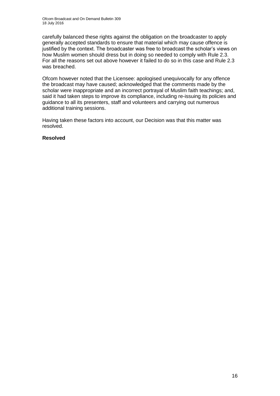carefully balanced these rights against the obligation on the broadcaster to apply generally accepted standards to ensure that material which may cause offence is justified by the context. The broadcaster was free to broadcast the scholar's views on how Muslim women should dress but in doing so needed to comply with Rule 2.3. For all the reasons set out above however it failed to do so in this case and Rule 2.3 was breached.

Ofcom however noted that the Licensee: apologised unequivocally for any offence the broadcast may have caused; acknowledged that the comments made by the scholar were inappropriate and an incorrect portrayal of Muslim faith teachings; and, said it had taken steps to improve its compliance, including re-issuing its policies and guidance to all its presenters, staff and volunteers and carrying out numerous additional training sessions.

Having taken these factors into account, our Decision was that this matter was resolved.

## **Resolved**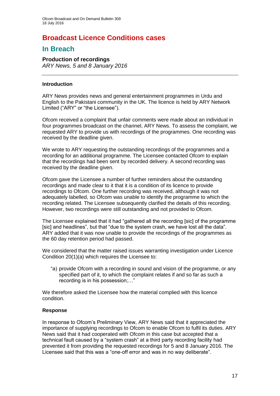## **Broadcast Licence Conditions cases**

## **In Breach**

**Production of recordings** *ARY News, 5 and 8 January 2016*

## **Introduction**

ARY News provides news and general entertainment programmes in Urdu and English to the Pakistani community in the UK. The licence is held by ARY Network Limited ("ARY" or "the Licensee").

Ofcom received a complaint that unfair comments were made about an individual in four programmes broadcast on the channel, ARY News. To assess the complaint, we requested ARY to provide us with recordings of the programmes. One recording was received by the deadline given.

We wrote to ARY requesting the outstanding recordings of the programmes and a recording for an additional programme. The Licensee contacted Ofcom to explain that the recordings had been sent by recorded delivery. A second recording was received by the deadline given.

Ofcom gave the Licensee a number of further reminders about the outstanding recordings and made clear to it that it is a condition of its licence to provide recordings to Ofcom. One further recording was received, although it was not adequately labelled, so Ofcom was unable to identify the programme to which the recording related. The Licensee subsequently clarified the details of this recording. However, two recordings were still outstanding and not provided to Ofcom.

The Licensee explained that it had "gathered all the recording [sic] of the programme [sic] and headlines", but that "due to the system crash, we have lost all the data". ARY added that it was now unable to provide the recordings of the programmes as the 60 day retention period had passed.

We considered that the matter raised issues warranting investigation under Licence Condition 20(1)(a) which requires the Licensee to:

"a) provide Ofcom with a recording in sound and vision of the programme, or any specified part of it, to which the complaint relates if and so far as such a recording is in his possession;…"

We therefore asked the Licensee how the material complied with this licence condition.

## **Response**

In response to Ofcom's Preliminary View, ARY News said that it appreciated the importance of supplying recordings to Ofcom to enable Ofcom to fulfil its duties. ARY News said that it had cooperated with Ofcom in this case but accepted that a technical fault caused by a "system crash" at a third party recording facility had prevented it from providing the requested recordings for 5 and 8 January 2016. The Licensee said that this was a "one-off error and was in no way deliberate".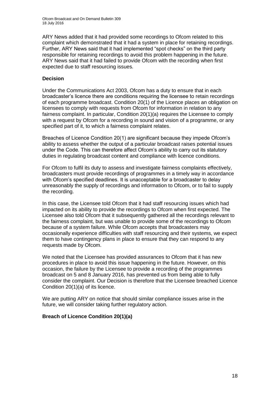ARY News added that it had provided some recordings to Ofcom related to this complaint which demonstrated that it had a system in place for retaining recordings. Further, ARY News said that it had implemented "spot checks" on the third party responsible for retaining recordings to avoid this problem happening in the future. ARY News said that it had failed to provide Ofcom with the recording when first expected due to staff resourcing issues.

## **Decision**

Under the Communications Act 2003, Ofcom has a duty to ensure that in each broadcaster's licence there are conditions requiring the licensee to retain recordings of each programme broadcast. Condition 20(1) of the Licence places an obligation on licensees to comply with requests from Ofcom for information in relation to any fairness complaint. In particular, Condition 20(1)(a) requires the Licensee to comply with a request by Ofcom for a recording in sound and vision of a programme, or any specified part of it, to which a fairness complaint relates.

Breaches of Licence Condition 20(1) are significant because they impede Ofcom's ability to assess whether the output of a particular broadcast raises potential issues under the Code. This can therefore affect Ofcom's ability to carry out its statutory duties in regulating broadcast content and compliance with licence conditions.

For Ofcom to fulfil its duty to assess and investigate fairness complaints effectively, broadcasters must provide recordings of programmes in a timely way in accordance with Ofcom's specified deadlines. It is unacceptable for a broadcaster to delay unreasonably the supply of recordings and information to Ofcom, or to fail to supply the recording.

In this case, the Licensee told Ofcom that it had staff resourcing issues which had impacted on its ability to provide the recordings to Ofcom when first expected. The Licensee also told Ofcom that it subsequently gathered all the recordings relevant to the fairness complaint, but was unable to provide some of the recordings to Ofcom because of a system failure. While Ofcom accepts that broadcasters may occasionally experience difficulties with staff resourcing and their systems, we expect them to have contingency plans in place to ensure that they can respond to any requests made by Ofcom.

We noted that the Licensee has provided assurances to Ofcom that it has new procedures in place to avoid this issue happening in the future. However, on this occasion, the failure by the Licensee to provide a recording of the programmes broadcast on 5 and 8 January 2016, has prevented us from being able to fully consider the complaint. Our Decision is therefore that the Licensee breached Licence Condition 20(1)(a) of its licence.

We are putting ARY on notice that should similar compliance issues arise in the future, we will consider taking further regulatory action.

## **Breach of Licence Condition 20(1)(a)**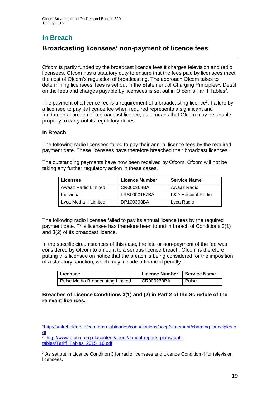## **In Breach**

## **Broadcasting licensees' non-payment of licence fees**

Ofcom is partly funded by the broadcast licence fees it charges television and radio licensees. Ofcom has a statutory duty to ensure that the fees paid by licensees meet the cost of Ofcom's regulation of broadcasting. The approach Ofcom takes to determining licensees' fees is set out in the Statement of Charging Principles<sup>1</sup>. Detail on the fees and charges payable by licensees is set out in Ofcom's Tariff Tables<sup>2</sup>.

The payment of a licence fee is a requirement of a broadcasting licence<sup>3</sup>. Failure by a licensee to pay its licence fee when required represents a significant and fundamental breach of a broadcast licence, as it means that Ofcom may be unable properly to carry out its regulatory duties.

## **In Breach**

The following radio licensees failed to pay their annual licence fees by the required payment date. These licensees have therefore breached their broadcast licences.

The outstanding payments have now been received by Ofcom. Ofcom will not be taking any further regulatory action in these cases.

| Licensee              | <b>Licence Number</b> | <b>Service Name</b>           |
|-----------------------|-----------------------|-------------------------------|
| Awaaz Radio Limited   | CR000208BA            | Awaaz Radio                   |
| Individual            | <b>LRSL000157BA</b>   | <b>L&amp;D Hospital Radio</b> |
| Lyca Media II Limited | DP100393BA            | Lyca Radio                    |

The following radio licensee failed to pay its annual licence fees by the required payment date. This licensee has therefore been found in breach of Conditions 3(1) and 3(2) of its broadcast licence.

In the specific circumstances of this case, the late or non-payment of the fee was considered by Ofcom to amount to a serious licence breach. Ofcom is therefore putting this licensee on notice that the breach is being considered for the imposition of a statutory sanction, which may include a financial penalty.

| Licensee                         | <b>Licence Number</b> | Service Name |
|----------------------------------|-----------------------|--------------|
| Pulse Media Broadcasting Limited | CR000239BA            | Pulse        |

#### **Breaches of Licence Conditions 3(1) and (2) in Part 2 of the Schedule of the relevant licences.**

<sup>1</sup> <sup>1</sup>[http://stakeholders.ofcom.org.uk/binaries/consultations/socp/statement/charging\\_principles.p](http://stakeholders.ofcom.org.uk/binaries/consultations/socp/statement/charging_principles.pdf) [df](http://stakeholders.ofcom.org.uk/binaries/consultations/socp/statement/charging_principles.pdf)

<sup>&</sup>lt;sup>2</sup> [http://www.ofcom.org.uk/content/about/annual-reports-plans/tariff](http://www.ofcom.org.uk/content/about/annual-reports-plans/tariff-tables/Tariff_Tables_2015_16.pdf)[tables/Tariff\\_Tables\\_2015\\_16.pdf](http://www.ofcom.org.uk/content/about/annual-reports-plans/tariff-tables/Tariff_Tables_2015_16.pdf)

<sup>&</sup>lt;sup>3</sup> As set out in Licence Condition 3 for radio licensees and Licence Condition 4 for television licensees.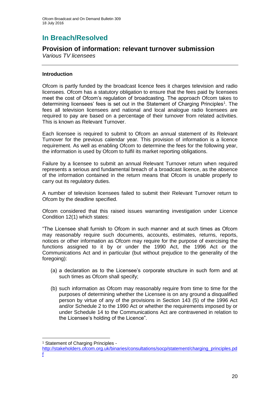## **In Breach/Resolved**

## **Provision of information: relevant turnover submission**

*Various TV licensees*

## **Introduction**

Ofcom is partly funded by the broadcast licence fees it charges television and radio licensees. Ofcom has a statutory obligation to ensure that the fees paid by licensees meet the cost of Ofcom's regulation of broadcasting. The approach Ofcom takes to determining licensees' fees is set out in the Statement of Charging Principles<sup>1</sup>. The fees all television licensees and national and local analogue radio licensees are required to pay are based on a percentage of their turnover from related activities. This is known as Relevant Turnover.

Each licensee is required to submit to Ofcom an annual statement of its Relevant Turnover for the previous calendar year. This provision of information is a licence requirement. As well as enabling Ofcom to determine the fees for the following year, the information is used by Ofcom to fulfil its market reporting obligations.

Failure by a licensee to submit an annual Relevant Turnover return when required represents a serious and fundamental breach of a broadcast licence, as the absence of the information contained in the return means that Ofcom is unable properly to carry out its regulatory duties.

A number of television licensees failed to submit their Relevant Turnover return to Ofcom by the deadline specified.

Ofcom considered that this raised issues warranting investigation under Licence Condition 12(1) which states:

"The Licensee shall furnish to Ofcom in such manner and at such times as Ofcom may reasonably require such documents, accounts, estimates, returns, reports, notices or other information as Ofcom may require for the purpose of exercising the functions assigned to it by or under the 1990 Act, the 1996 Act or the Communications Act and in particular (but without prejudice to the generality of the foregoing):

- (a) a declaration as to the Licensee's corporate structure in such form and at such times as Ofcom shall specify;
- (b) such information as Ofcom may reasonably require from time to time for the purposes of determining whether the Licensee is on any ground a disqualified person by virtue of any of the provisions in Section 143 (5) of the 1996 Act and/or Schedule 2 to the 1990 Act or whether the requirements imposed by or under Schedule 14 to the Communications Act are contravened in relation to the Licensee's holding of the Licence".

1

<sup>&</sup>lt;sup>1</sup> Statement of Charging Principles -

[http://stakeholders.ofcom.org.uk/binaries/consultations/socp/statement/charging\\_principles.pd](http://stakeholders.ofcom.org.uk/binaries/consultations/socp/statement/charging_principles.pdf) [f](http://stakeholders.ofcom.org.uk/binaries/consultations/socp/statement/charging_principles.pdf)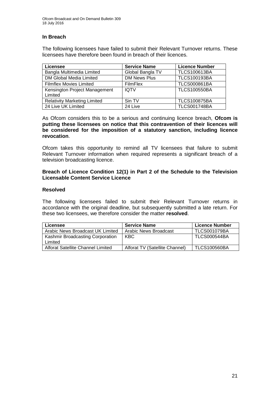## **In Breach**

The following licensees have failed to submit their Relevant Turnover returns. These licensees have therefore been found in breach of their licences.

| Licensee                                 | <b>Service Name</b> | <b>Licence Number</b> |
|------------------------------------------|---------------------|-----------------------|
| Bangla Multimedia Limited                | Global Bangla TV    | <b>TLCS100613BA</b>   |
| DM Global Media Limited                  | <b>DM News Plus</b> | <b>TLCS100193BA</b>   |
| <b>Filmflex Movies Limited</b>           | <b>FilmFlex</b>     | <b>TLCS000861BA</b>   |
| Kensington Project Management<br>Limited | <b>IQTV</b>         | <b>TLCS100550BA</b>   |
| <b>Relativity Marketing Limited</b>      | Sin TV              | <b>TLCS100875BA</b>   |
| 24 Live UK Limited                       | 24 Live             | <b>TLCS001748BA</b>   |

As Ofcom considers this to be a serious and continuing licence breach, **Ofcom is putting these licensees on notice that this contravention of their licences will be considered for the imposition of a statutory sanction, including licence revocation**.

Ofcom takes this opportunity to remind all TV licensees that failure to submit Relevant Turnover information when required represents a significant breach of a television broadcasting licence.

#### **Breach of Licence Condition 12(1) in Part 2 of the Schedule to the Television Licensable Content Service Licence**

#### **Resolved**

The following licensees failed to submit their Relevant Turnover returns in accordance with the original deadline, but subsequently submitted a late return. For these two licensees, we therefore consider the matter **resolved**.

| Licensee                                | <b>Service Name</b>            | <b>Licence Number</b> |
|-----------------------------------------|--------------------------------|-----------------------|
| Arabic News Broadcast UK Limited        | Arabic News Broadcast          | <b>TLCS001079BA</b>   |
| <b>Kashmir Broadcasting Corporation</b> | KBC                            | <b>TLCS000544BA</b>   |
| Limited                                 |                                |                       |
| Alforat Satellite Channel Limited       | Alforat TV (Satellite Channel) | <b>TLCS100560BA</b>   |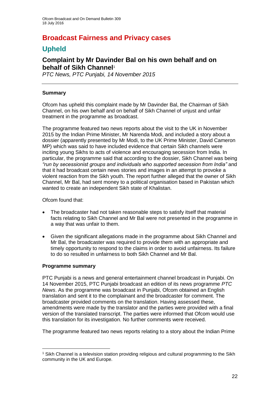## **Broadcast Fairness and Privacy cases**

## **Upheld**

## **Complaint by Mr Davinder Bal on his own behalf and on behalf of Sikh Channel**<sup>1</sup>

*PTC News, PTC Punjabi, 14 November 2015*

## **Summary**

Ofcom has upheld this complaint made by Mr Davinder Bal, the Chairman of Sikh Channel, on his own behalf and on behalf of Sikh Channel of unjust and unfair treatment in the programme as broadcast.

The programme featured two news reports about the visit to the UK in November 2015 by the Indian Prime Minister, Mr Narenda Modi, and included a story about a dossier (apparently presented by Mr Modi, to the UK Prime Minister, David Cameron MP) which was said to have included evidence that certain Sikh channels were inciting young Sikhs to acts of violence and encouraging secession from India. In particular, the programme said that according to the dossier, Sikh Channel was being *"run by secessionist groups and individuals who supported secession from India"* and that it had broadcast certain news stories and images in an attempt to provoke a violent reaction from the Sikh youth. The report further alleged that the owner of Sikh Channel, Mr Bal, had sent money to a political organisation based in Pakistan which wanted to create an independent Sikh state of Khalistan.

Ofcom found that:

- The broadcaster had not taken reasonable steps to satisfy itself that material facts relating to Sikh Channel and Mr Bal were not presented in the programme in a way that was unfair to them.
- Given the significant allegations made in the programme about Sikh Channel and Mr Bal, the broadcaster was required to provide them with an appropriate and timely opportunity to respond to the claims in order to avoid unfairness. Its failure to do so resulted in unfairness to both Sikh Channel and Mr Bal.

## **Programme summary**

1

PTC Punjabi is a news and general entertainment channel broadcast in Punjabi. On 14 November 2015, PTC Punjabi broadcast an edition of its news programme *PTC News*. As the programme was broadcast in Punjabi, Ofcom obtained an English translation and sent it to the complainant and the broadcaster for comment. The broadcaster provided comments on the translation. Having assessed these, amendments were made by the translator and the parties were provided with a final version of the translated transcript. The parties were informed that Ofcom would use this translation for its investigation. No further comments were received.

The programme featured two news reports relating to a story about the Indian Prime

<sup>1</sup> Sikh Channel is a television station providing religious and cultural programming to the Sikh community in the UK and Europe.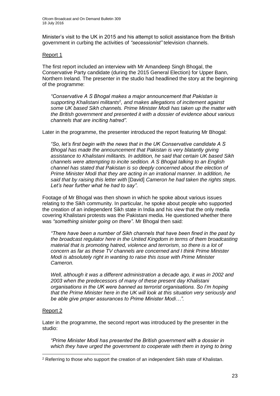Minister's visit to the UK in 2015 and his attempt to solicit assistance from the British government in curbing the activities of *"secessionist"* television channels.

## Report 1

The first report included an interview with Mr Amandeep Singh Bhogal, the Conservative Party candidate (during the 2015 General Election) for Upper Bann, Northern Ireland. The presenter in the studio had headlined the story at the beginning of the programme:

*"Conservative A S Bhogal makes a major announcement that Pakistan is supporting Khalistani militants*<sup>2</sup> *, and makes allegations of incitement against some UK based Sikh channels. Prime Minister Modi has taken up the matter with the British government and presented it with a dossier of evidence about various channels that are inciting hatred".*

Later in the programme, the presenter introduced the report featuring Mr Bhogal:

*"So, let's first begin with the news that in the UK Conservative candidate A S Bhogal has made the announcement that Pakistan is very blatantly giving assistance to Khalistani militants. In addition, he said that certain UK based Sikh channels were attempting to incite sedition. A S Bhogal talking to an English channel has stated that Pakistan is so deeply concerned about the election of Prime Minister Modi that they are acting in an irrational manner. In addition, he said that by raising this letter with* [David] *Cameron he had taken the rights steps. Let's hear further what he had to say"*.

Footage of Mr Bhogal was then shown in which he spoke about various issues relating to the Sikh community. In particular, he spoke about people who supported the creation of an independent Sikh state in India and his view that the only media covering Khalistani protests was the Pakistani media. He questioned whether there was *"something sinister going on there"*. Mr Bhogal then said:

*"There have been a number of Sikh channels that have been fined in the past by the broadcast regulator here in the United Kingdom in terms of them broadcasting material that is promoting hatred, violence and terrorism, so there is a lot of concern as far as these TV channels are concerned and I think Prime Minister Modi is absolutely right in wanting to raise this issue with Prime Minister Cameron.*

*Well, although it was a different administration a decade ago, it was in 2002 and 2003 when the predecessors of many of these present day Khalistani organisations in the UK were banned as terrorist organisations. So I'm hoping that the Prime Minister here in the UK will look at this situation very seriously and be able give proper assurances to Prime Minister Modi…".* 

## Report 2

1

Later in the programme, the second report was introduced by the presenter in the studio:

*"Prime Minister Modi has presented the British government with a dossier in*  which they have urged the government to cooperate with them in trying to bring

<sup>&</sup>lt;sup>2</sup> Referring to those who support the creation of an independent Sikh state of Khalistan.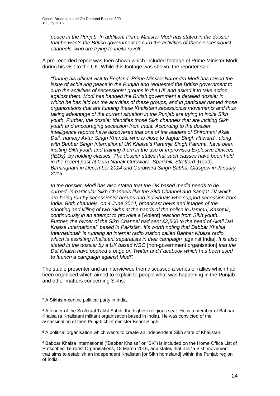*peace in the Punjab. In addition, Prime Minister Modi has stated in the dossier that he wants the British government to curb the activities of these secessionist channels, who are trying to incite revolt".*

A pre-recorded report was then shown which included footage of Prime Minister Modi during his visit to the UK. While this footage was shown, the reporter said:

*"During his official visit to England, Prime Minster Narendra Modi has raised the issue of achieving peace in the Punjab and requested the British government to curb the activities of secessionist groups in the UK and asked it to take action against them. Modi has handed the British government a detailed dossier in which he has laid out the activities of these groups, and in particular named those organisations that are funding these Khalistani secessionist movements and thus taking advantage of the current situation in the Punjab are trying to incite Sikh youth. Further, the dossier identifies those Sikh channels that are inciting Sikh youth and encouraging secession from India. According to the dossier, intelligence reports have discovered that one of the leaders of Shiromani Akali*  Da<sup> $\beta$ </sup>, namely Avtar Singh Khanda, who is close to Jagtar Singh Hawara<sup>4</sup>, along *with Babbar Singh International UK Khalsa's Paramjit Singh Pamma, have been inciting Sikh youth and training them in the use of Improvised Explosive Devices (IEDs), by holding classes. The dossier states that such classes have been held in the recent past at Guru Nanak Gurdwara, Sparkhill, Stratford [Road], Birmingham in December 2014 and Gurdwara Singh Sabha, Glasgow in January 2015.*

*In the dossier, Modi has also stated that the UK based media needs to be curbed, in particular Sikh Channels like the Sikh Channel and Sangat TV which are being run by secessionist groups and individuals who support secession from India. Both channels, on 4 June 2014, broadcast news and images of the shooting and killing of two Sikhs at the hands of the police in Jammu, Kashmir, continuously in an attempt to provoke a* [violent] *reaction from Sikh youth. Further, the owner of the Sikh Channel had sent £2,500 to the head of Akali Dal Khalsa International*<sup>5</sup> *based in Pakistan. It's worth noting that Babbar Khalsa International*<sup>6</sup> *is running an internet radio station called Babbar Khalsa radio, which is assisting Khalistani separatists in their campaign* [against India]. *It is also stated in the dossier by a UK based NGO* [non-government organisation] *that the Dal Khalsa have opened a page on Twitter and Facebook which has been used to launch a campaign against Modi".*

The studio presenter and an interviewee then discussed a series of rallies which had been organised which aimed to explain to people what was happening in the Punjab and other matters concerning Sikhs.

<sup>1</sup> <sup>3</sup> A Sikhism-centric political party in India.

<sup>4</sup> A leader of the Sri Akaal Takht Sahib, the highest religious seat. He is a member of Babbar Khalsa (a Khalistani militant organisation based in India). He was convicted of the assassination of then Punjab chief minister Beant Singh.

<sup>5</sup> A political organisation which wants to create an independent Sikh state of Khalistan.

<sup>6</sup> Babbar Khalsa International ("Babbar Khalsa" or "BK") is included on the Home Office List of Proscribed Terrorist Organisations, 18 March 2016, and states that it is "a Sikh movement that aims to establish an independent Khalistan [or Sikh homeland] within the Punjab region of India".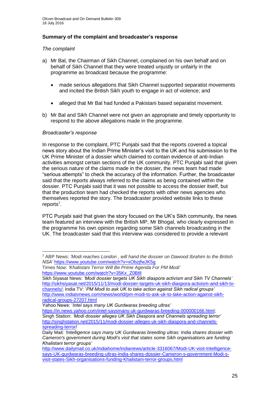## **Summary of the complaint and broadcaster's response**

## *The complaint*

- a) Mr Bal, the Chairman of Sikh Channel, complained on his own behalf and on behalf of Sikh Channel that they were treated unjustly or unfairly in the programme as broadcast because the programme:
	- made serious allegations that Sikh Channel supported separatist movements and incited the British Sikh youth to engage in act of violence; and
	- alleged that Mr Bal had funded a Pakistani based separatist movement.
- b) Mr Bal and Sikh Channel were not given an appropriate and timely opportunity to respond to the above allegations made in the programme.

## *Broadcaster's response*

In response to the complaint, PTC Punjabi said that the reports covered a topical news story about the Indian Prime Minister's visit to the UK and his submission to the UK Prime Minister of a dossier which claimed to contain evidence of anti-Indian activities amongst certain sections of the UK community. PTC Punjabi said that given the serious nature of the claims made in the dossier, the news team had made "serious attempts" to check the accuracy of the information. Further, the broadcaster said that the reports always referred to the claims as being contained within the dossier. PTC Punjabi said that it was not possible to access the dossier itself, but that the production team had checked the reports with other news agencies who themselves reported the story. The broadcaster provided website links to these reports<sup>7</sup>.

PTC Punjabi said that given the story focused on the UK's Sikh community, the news team featured an interview with the British MP, Mr Bhogal, who clearly expressed in the programme his own opinion regarding some Sikh channels broadcasting in the UK. The broadcaster said that this interview was considered to provide a relevant

Yahoo News: '*Intel says many UK Gurdwaras breeding ultras'*

[https://in.news.yahoo.com/intel-saysmany-uk-gurdwaras-breeding-000000166.html;](https://in.news.yahoo.com/intel-saysmany-uk-gurdwaras-breeding-000000166.html) Singh Station: *'Modi dossier alleges UK Sikh Diaspora and Channels spreading terror'* [http://singhstation.net/2015/11/modi-dossier-alleges-uk-sikh-diaspora-and-channels](http://singhstation.net/2015/11/modi-dossier-alleges-uk-sikh-diaspora-and-channels-spreading-terror)[spreading-terror/](http://singhstation.net/2015/11/modi-dossier-alleges-uk-sikh-diaspora-and-channels-spreading-terror)

<sup>1</sup> <sup>7</sup> ABP News: *'Modi reaches London , will hand the dossier on Dawood Ibrahim to the British NSA'* <https://www.youtube.com/watch?v=xObzjfwJK5g>

Times Now: *'Khalistani Terror Will Be Prime Agenda For PM Modi'* [https://www.youtube.com/watch?v=35Kx\\_Z0BtlI](https://www.youtube.com/watch?v=35Kx_Z0BtlI)

Sikh Siyasat News: *'Modi dossier targets UK Sikh diaspora activism and Sikh TV Channels'*  [http://sikhsiyasat.net/2015/11/13/modi-dossier-targets-uk-sikh-diaspora-activism-and-sikh-tv](http://sikhsiyasat.net/2015/11/13/modi-dossier-targets-uk-sikh-diaspora-activism-and-sikh-tv-channels/)[channels/;](http://sikhsiyasat.net/2015/11/13/modi-dossier-targets-uk-sikh-diaspora-activism-and-sikh-tv-channels/) India TV: '*PM Modi to ask UK to take action against Sikh radical groups'*  [http://www.indiatvnews.com/news/world/pm-modi-to-ask-uk-to-take-action-against-sikh](http://www.indiatvnews.com/news/world/pm-modi-to-ask-uk-to-take-action-against-sikh-radical-groups-27207.html)[radical-groups-27207.html](http://www.indiatvnews.com/news/world/pm-modi-to-ask-uk-to-take-action-against-sikh-radical-groups-27207.html)

Daily Mail: *'Intelligence says many UK Gurdwaras breeding ultras: India shares dossier with Cameron's government during Modi's visit that states some Sikh organisations are funding Khalistani terror groups'*

[http://www.dailymail.co.uk/indiahome/indianews/article-3316067/Modi-UK-visit-Intelligence](http://www.dailymail.co.uk/indiahome/indianews/article-3316067/Modi-UK-visit-Intelligence-says-UK-gurdwaras-breeding-ultras-India-shares-dossier-Cameron-s-government-Modi-s-visit-states-Sikh-organisations-funding-Khalistani-terror-groups.html)[says-UK-gurdwaras-breeding-ultras-India-shares-dossier-Cameron-s-government-Modi-s](http://www.dailymail.co.uk/indiahome/indianews/article-3316067/Modi-UK-visit-Intelligence-says-UK-gurdwaras-breeding-ultras-India-shares-dossier-Cameron-s-government-Modi-s-visit-states-Sikh-organisations-funding-Khalistani-terror-groups.html)[visit-states-Sikh-organisations-funding-Khalistani-terror-groups.html](http://www.dailymail.co.uk/indiahome/indianews/article-3316067/Modi-UK-visit-Intelligence-says-UK-gurdwaras-breeding-ultras-India-shares-dossier-Cameron-s-government-Modi-s-visit-states-Sikh-organisations-funding-Khalistani-terror-groups.html)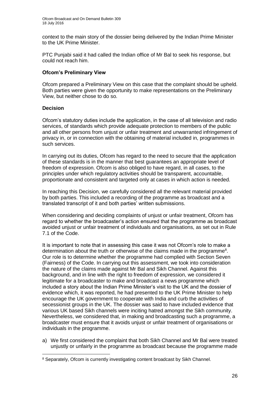context to the main story of the dossier being delivered by the Indian Prime Minister to the UK Prime Minister.

PTC Punjabi said it had called the Indian office of Mr Bal to seek his response, but could not reach him.

## **Ofcom's Preliminary View**

Ofcom prepared a Preliminary View on this case that the complaint should be upheld. Both parties were given the opportunity to make representations on the Preliminary View, but neither chose to do so.

## **Decision**

Ofcom's statutory duties include the application, in the case of all television and radio services, of standards which provide adequate protection to members of the public and all other persons from unjust or unfair treatment and unwarranted infringement of privacy in, or in connection with the obtaining of material included in, programmes in such services.

In carrying out its duties, Ofcom has regard to the need to secure that the application of these standards is in the manner that best guarantees an appropriate level of freedom of expression. Ofcom is also obliged to have regard, in all cases, to the principles under which regulatory activities should be transparent, accountable, proportionate and consistent and targeted only at cases in which action is needed.

In reaching this Decision, we carefully considered all the relevant material provided by both parties. This included a recording of the programme as broadcast and a translated transcript of it and both parties' written submissions.

When considering and deciding complaints of unjust or unfair treatment, Ofcom has regard to whether the broadcaster's action ensured that the programme as broadcast avoided unjust or unfair treatment of individuals and organisations, as set out in Rule 7.1 of the Code.

It is important to note that in assessing this case it was not Ofcom's role to make a determination about the truth or otherwise of the claims made in the programme<sup>8</sup>. Our role is to determine whether the programme had complied with Section Seven (Fairness) of the Code. In carrying out this assessment, we took into consideration the nature of the claims made against Mr Bal and Sikh Channel. Against this background, and in line with the right to freedom of expression, we considered it legitimate for a broadcaster to make and broadcast a news programme which included a story about the Indian Prime Minister's visit to the UK and the dossier of evidence which, it was reported, he had presented to the UK Prime Minister to help encourage the UK government to cooperate with India and curb the activities of secessionist groups in the UK. The dossier was said to have included evidence that various UK based Sikh channels were inciting hatred amongst the Sikh community. Nevertheless, we considered that, in making and broadcasting such a programme, a broadcaster must ensure that it avoids unjust or unfair treatment of organisations or individuals in the programme.

a) We first considered the complaint that both Sikh Channel and Mr Bal were treated unjustly or unfairly in the programme as broadcast because the programme made

<sup>1</sup> <sup>8</sup> Separately, Ofcom is currently investigating content broadcast by Sikh Channel.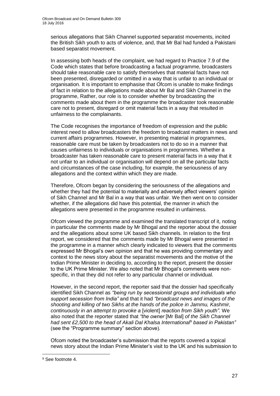serious allegations that Sikh Channel supported separatist movements, incited the British Sikh youth to acts of violence, and, that Mr Bal had funded a Pakistani based separatist movement.

In assessing both heads of the complaint, we had regard to Practice 7.9 of the Code which states that before broadcasting a factual programme, broadcasters should take reasonable care to satisfy themselves that material facts have not been presented, disregarded or omitted in a way that is unfair to an individual or organisation. It is important to emphasise that Ofcom is unable to make findings of fact in relation to the allegations made about Mr Bal and Sikh Channel in the programme, Rather, our role is to consider whether by broadcasting the comments made about them in the programme the broadcaster took reasonable care not to present, disregard or omit material facts in a way that resulted in unfairness to the complainants.

The Code recognises the importance of freedom of expression and the public interest need to allow broadcasters the freedom to broadcast matters in news and current affairs programmes. However, in presenting material in programmes, reasonable care must be taken by broadcasters not to do so in a manner that causes unfairness to individuals or organisations in programmes. Whether a broadcaster has taken reasonable care to present material facts in a way that it not unfair to an individual or organisation will depend on all the particular facts and circumstances of the case including, for example, the seriousness of any allegations and the context within which they are made.

Therefore, Ofcom began by considering the seriousness of the allegations and whether they had the potential to materially and adversely affect viewers' opinion of Sikh Channel and Mr Bal in a way that was unfair. We then went on to consider whether, if the allegations did have this potential, the manner in which the allegations were presented in the programme resulted in unfairness.

Ofcom viewed the programme and examined the translated transcript of it, noting in particular the comments made by Mr Bhogal and the reporter about the dossier and the allegations about some UK based Sikh channels. In relation to the first report, we considered that the comments made by Mr Bhogal were presented in the programme in a manner which clearly indicated to viewers that the comments expressed Mr Bhogal's own opinion and that he was providing commentary and context to the news story about the separatist movements and the motive of the Indian Prime Minister in deciding to, according to the report, present the dossier to the UK Prime Minister. We also noted that Mr Bhogal's comments were nonspecific, in that they did not refer to any particular channel or individual.

However, in the second report, the reporter said that the dossier had specifically identified Sikh Channel as *"being run by secessionist groups and individuals who support secession from India"* and that it had *"broadcast news and images of the shooting and killing of two Sikhs at the hands of the police in Jammu, Kashmir, continuously in an attempt to provoke a* [violent] *reaction from Sikh youth"*. We also noted that the reporter stated that *"the owner* [Mr Bal] *of the Sikh Channel had sent £2,500 to the head of Akali Dal Khalsa International*<sup>9</sup> *based in Pakistan"*  (see the "Programme summary" section above)*.*

Ofcom noted the broadcaster's submission that the reports covered a topical news story about the Indian Prime Minister's visit to the UK and his submission to

1

<sup>9</sup> See footnote 4.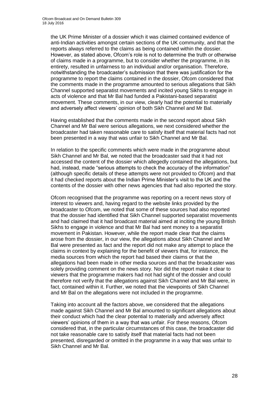the UK Prime Minister of a dossier which it was claimed contained evidence of anti-Indian activities amongst certain sections of the UK community, and that the reports always referred to the claims as being contained within the dossier. However, as stated above, Ofcom's role is not to determine the truth or otherwise of claims made in a programme, but to consider whether the programme, in its entirety, resulted in unfairness to an individual and/or organisation. Therefore, notwithstanding the broadcaster's submission that there was justification for the programme to report the claims contained in the dossier, Ofcom considered that the comments made in the programme amounted to serious allegations that Sikh Channel supported separatist movements and incited young Sikhs to engage in acts of violence and that Mr Bal had funded a Pakistani-based separatist movement. These comments, in our view, clearly had the potential to materially and adversely affect viewers' opinion of both Sikh Channel and Mr Bal.

Having established that the comments made in the second report about Sikh Channel and Mr Bal were serious allegations, we next considered whether the broadcaster had taken reasonable care to satisfy itself that material facts had not been presented in a way that was unfair to Sikh Channel and Mr Bal.

In relation to the specific comments which were made in the programme about Sikh Channel and Mr Bal, we noted that the broadcaster said that it had not accessed the content of the dossier which allegedly contained the allegations, but had, instead, made "serious attempts to check the accuracy of the information" (although specific details of these attempts were not provided to Ofcom) and that it had checked reports about the Indian Prime Minister's visit to the UK and the contents of the dossier with other news agencies that had also reported the story.

Ofcom recognised that the programme was reporting on a recent news story of interest to viewers and, having regard to the website links provided by the broadcaster to Ofcom, we noted that some of these sources had also reported that the dossier had identified that Sikh Channel supported separatist movements and had claimed that it had broadcast material aimed at inciting the young British Sikhs to engage in violence and that Mr Bal had sent money to a separatist movement in Pakistan. However, while the report made clear that the claims arose from the dossier, in our view, the allegations about Sikh Channel and Mr Bal were presented as fact and the report did not make any attempt to place the claims in context by explaining for the benefit of viewers that, for instance, the media sources from which the report had based their claims or that the allegations had been made in other media sources and that the broadcaster was solely providing comment on the news story. Nor did the report make it clear to viewers that the programme makers had not had sight of the dossier and could therefore not verify that the allegations against Sikh Channel and Mr Bal were, in fact, contained within it. Further, we noted that the viewpoints of Sikh Channel and Mr Bal on the allegations were not included in the programme.

Taking into account all the factors above, we considered that the allegations made against Sikh Channel and Mr Bal amounted to significant allegations about their conduct which had the clear potential to materially and adversely affect viewers' opinions of them in a way that was unfair. For these reasons, Ofcom considered that, in the particular circumstances of this case, the broadcaster did not take reasonable care to satisfy itself that material facts had not been presented, disregarded or omitted in the programme in a way that was unfair to Sikh Channel and Mr Bal.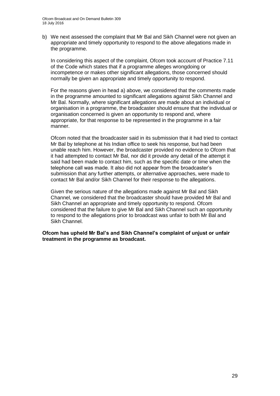b) We next assessed the complaint that Mr Bal and Sikh Channel were not given an appropriate and timely opportunity to respond to the above allegations made in the programme.

In considering this aspect of the complaint, Ofcom took account of Practice 7.11 of the Code which states that if a programme alleges wrongdoing or incompetence or makes other significant allegations, those concerned should normally be given an appropriate and timely opportunity to respond.

For the reasons given in head a) above, we considered that the comments made in the programme amounted to significant allegations against Sikh Channel and Mr Bal. Normally, where significant allegations are made about an individual or organisation in a programme, the broadcaster should ensure that the individual or organisation concerned is given an opportunity to respond and, where appropriate, for that response to be represented in the programme in a fair manner.

Ofcom noted that the broadcaster said in its submission that it had tried to contact Mr Bal by telephone at his Indian office to seek his response, but had been unable reach him. However, the broadcaster provided no evidence to Ofcom that it had attempted to contact Mr Bal, nor did it provide any detail of the attempt it said had been made to contact him, such as the specific date or time when the telephone call was made. It also did not appear from the broadcaster's submission that any further attempts, or alternative approaches, were made to contact Mr Bal and/or Sikh Channel for their response to the allegations.

Given the serious nature of the allegations made against Mr Bal and Sikh Channel, we considered that the broadcaster should have provided Mr Bal and Sikh Channel an appropriate and timely opportunity to respond. Ofcom considered that the failure to give Mr Bal and Sikh Channel such an opportunity to respond to the allegations prior to broadcast was unfair to both Mr Bal and Sikh Channel.

**Ofcom has upheld Mr Bal's and Sikh Channel's complaint of unjust or unfair treatment in the programme as broadcast.**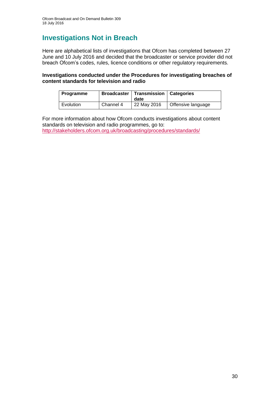## **Investigations Not in Breach**

Here are alphabetical lists of investigations that Ofcom has completed between 27 June and 10 July 2016 and decided that the broadcaster or service provider did not breach Ofcom's codes, rules, licence conditions or other regulatory requirements.

## **Investigations conducted under the Procedures for investigating breaches of content standards for television and radio**

| Programme |           | <b>Broadcaster   Transmission  </b><br>date | Categories         |
|-----------|-----------|---------------------------------------------|--------------------|
| Evolution | Channel 4 | 22 May 2016                                 | Offensive language |

For more information about how Ofcom conducts investigations about content standards on television and radio programmes, go to: <http://stakeholders.ofcom.org.uk/broadcasting/procedures/standards/>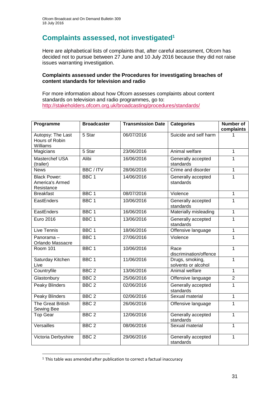## **Complaints assessed, not investigated<sup>1</sup>**

Here are alphabetical lists of complaints that, after careful assessment, Ofcom has decided not to pursue between 27 June and 10 July 2016 because they did not raise issues warranting investigation.

## **Complaints assessed under the Procedures for investigating breaches of content standards for television and radio**

For more information about how Ofcom assesses complaints about content standards on television and radio programmes, go to: <http://stakeholders.ofcom.org.uk/broadcasting/procedures/standards/>

| Programme                                            | <b>Broadcaster</b> | <b>Transmission Date</b> | <b>Categories</b>                      | <b>Number of</b><br>complaints |
|------------------------------------------------------|--------------------|--------------------------|----------------------------------------|--------------------------------|
| Autopsy: The Last<br>Hours of Robin<br>Williams      | 5 Star             | 06/07/2016               | Suicide and self harm                  | 1                              |
| Magicians                                            | 5 Star             | 23/06/2016               | Animal welfare                         | $\mathbf{1}$                   |
| Masterchef USA<br>(trailer)                          | Alibi              | 16/06/2016               | Generally accepted<br>standards        | 1                              |
| <b>News</b>                                          | <b>BBC/ITV</b>     | 28/06/2016               | Crime and disorder                     | $\overline{1}$                 |
| <b>Black Power:</b><br>America's Armed<br>Resistance | BBC <sub>1</sub>   | 14/06/2016               | Generally accepted<br>standards        | 1                              |
| <b>Breakfast</b>                                     | BBC <sub>1</sub>   | 08/07/2016               | Violence                               | $\mathbf{1}$                   |
| EastEnders                                           | BBC <sub>1</sub>   | 10/06/2016               | Generally accepted<br>standards        | $\mathbf{1}$                   |
| EastEnders                                           | BBC <sub>1</sub>   | 16/06/2016               | Materially misleading                  | $\mathbf{1}$                   |
| Euro 2016                                            | BBC <sub>1</sub>   | 13/06/2016               | Generally accepted<br>standards        | 1                              |
| Live Tennis                                          | BBC <sub>1</sub>   | 18/06/2016               | Offensive language                     | $\mathbf{1}$                   |
| Panorama-<br><b>Orlando Massacre</b>                 | BBC <sub>1</sub>   | 27/06/2016               | Violence                               | $\mathbf{1}$                   |
| <b>Room 101</b>                                      | BBC <sub>1</sub>   | 10/06/2016               | Race<br>discrimination/offence         | $\mathbf{1}$                   |
| Saturday Kitchen<br>Live                             | BBC <sub>1</sub>   | 11/06/2016               | Drugs, smoking,<br>solvents or alcohol | $\mathbf{1}$                   |
| Countryfile                                          | BBC <sub>2</sub>   | 13/06/2016               | Animal welfare                         | 1                              |
| Glastonbury                                          | BBC <sub>2</sub>   | 25/06/2016               | Offensive language                     | $\overline{2}$                 |
| <b>Peaky Blinders</b>                                | BBC <sub>2</sub>   | 02/06/2016               | Generally accepted<br>standards        | 1                              |
| <b>Peaky Blinders</b>                                | BBC <sub>2</sub>   | 02/06/2016               | Sexual material                        | $\mathbf{1}$                   |
| <b>The Great British</b><br>Sewing Bee               | BBC <sub>2</sub>   | 26/06/2016               | Offensive language                     | $\mathbf{1}$                   |
| <b>Top Gear</b>                                      | BBC <sub>2</sub>   | 12/06/2016               | Generally accepted<br>standards        | 1                              |
| Versailles                                           | BBC <sub>2</sub>   | 08/06/2016               | Sexual material                        | $\mathbf{1}$                   |
| Victoria Derbyshire                                  | BBC <sub>2</sub>   | 29/06/2016               | Generally accepted<br>standards        | 1                              |

<sup>1</sup> <sup>1</sup> This table was amended after publication to correct a factual inaccuracy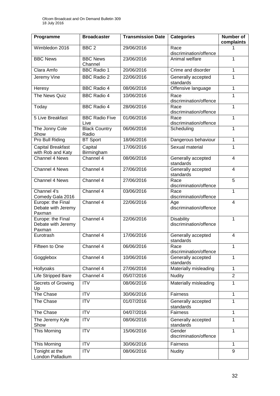| Programme                                         | <b>Broadcaster</b>            | <b>Transmission Date</b> | <b>Categories</b>                           | Number of<br>complaints |
|---------------------------------------------------|-------------------------------|--------------------------|---------------------------------------------|-------------------------|
| Wimbledon 2016                                    | BBC <sub>2</sub>              | 29/06/2016               | Race<br>discrimination/offence              | 1                       |
| <b>BBC News</b>                                   | <b>BBC News</b><br>Channel    | 23/06/2016               | Animal welfare                              | 1                       |
| Clara Amfo                                        | <b>BBC Radio 1</b>            | 20/06/2016               | Crime and disorder                          | 1                       |
| Jeremy Vine                                       | <b>BBC Radio 2</b>            | 22/06/2016               | Generally accepted<br>standards             | 1                       |
| Heresy                                            | <b>BBC Radio 4</b>            | 08/06/2016               | Offensive language                          | 1                       |
| The News Quiz                                     | <b>BBC Radio 4</b>            | 10/06/2016               | Race<br>discrimination/offence              | 1                       |
| Today                                             | <b>BBC Radio 4</b>            | 28/06/2016               | Race<br>discrimination/offence              | 1                       |
| <b>5 Live Breakfast</b>                           | <b>BBC Radio Five</b><br>Live | 01/06/2016               | Race<br>discrimination/offence              | 1                       |
| The Jonny Cole<br>Show                            | <b>Black Country</b><br>Radio | 06/06/2016               | Scheduling                                  | 1                       |
| <b>Pro Bull Riding</b>                            | <b>BT Sport</b>               | 18/06/2016               | Dangerous behaviour                         | 1                       |
| <b>Capital Breakfast</b><br>with Rob and Katy     | Capital<br>Birmingham         | 17/06/2016               | Sexual material                             | $\mathbf{1}$            |
| Channel 4 News                                    | Channel 4                     | 08/06/2016               | Generally accepted<br>standards             | $\overline{4}$          |
| Channel 4 News                                    | Channel 4                     | 27/06/2016               | Generally accepted<br>standards             | 4                       |
| Channel 4 News                                    | Channel 4                     | 27/06/2016               | Race<br>discrimination/offence              | 5                       |
| Channel 4's<br>Comedy Gala 2016                   | Channel 4                     | 03/06/2016               | Race<br>discrimination/offence              | 1                       |
| Europe: the Final<br>Debate with Jeremy<br>Paxman | Channel 4                     | 22/06/2016               | Age<br>discrimination/offence               | $\overline{4}$          |
| Europe: the Final<br>Debate with Jeremy<br>Paxman | Channel 4                     | 22/06/2016               | <b>Disability</b><br>discrimination/offence | $\mathbf{1}$            |
| Eurotrash                                         | Channel 4                     | 17/06/2016               | Generally accepted<br>standards             | $\overline{4}$          |
| Fifteen to One                                    | Channel 4                     | 06/06/2016               | Race<br>discrimination/offence              | 1                       |
| Gogglebox                                         | Channel 4                     | 10/06/2016               | Generally accepted<br>standards             | 1                       |
| Hollyoaks                                         | Channel 4                     | 27/06/2016               | Materially misleading                       | $\mathbf{1}$            |
| Life Stripped Bare                                | Channel 4                     | 05/07/2016               | <b>Nudity</b>                               | $\overline{2}$          |
| Secrets of Growing<br>Up                          | <b>ITV</b>                    | 08/06/2016               | Materially misleading                       | 1                       |
| The Chase                                         | <b>ITV</b>                    | 30/06/2016               | <b>Fairness</b>                             | 1                       |
| The Chase                                         | <b>ITV</b>                    | 01/07/2016               | Generally accepted<br>standards             | 1                       |
| The Chase                                         | <b>ITV</b>                    | 04/07/2016               | Fairness                                    | $\mathbf{1}$            |
| The Jeremy Kyle<br>Show                           | <b>ITV</b>                    | 08/06/2016               | Generally accepted<br>standards             | 1                       |
| This Morning                                      | <b>ITV</b>                    | 15/06/2016               | Gender<br>discrimination/offence            | 1                       |
| This Morning                                      | <b>ITV</b>                    | 30/06/2016               | Fairness                                    | $\mathbf{1}$            |
| Tonight at the<br>London Palladium                | <b>ITV</b>                    | 08/06/2016               | <b>Nudity</b>                               | 9                       |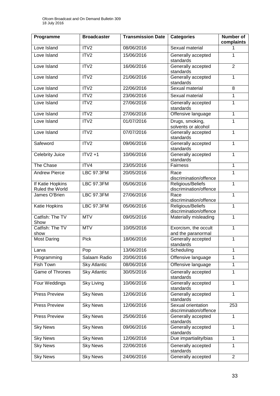| Programme                           | <b>Broadcaster</b>  | <b>Transmission Date</b> | <b>Categories</b>                            | Number of<br>complaints |
|-------------------------------------|---------------------|--------------------------|----------------------------------------------|-------------------------|
| Love Island                         | ITV2                | 08/06/2016               | Sexual material                              |                         |
| Love Island                         | ITV2                | 15/06/2016               | Generally accepted<br>standards              | 1                       |
| Love Island                         | ITV2                | 16/06/2016               | Generally accepted<br>standards              | $\overline{2}$          |
| Love Island                         | ITV2                | 21/06/2016               | Generally accepted<br>standards              | 1                       |
| Love Island                         | ITV2                | 22/06/2016               | Sexual material                              | 8                       |
| Love Island                         | ITV2                | 23/06/2016               | Sexual material                              | 1                       |
| Love Island                         | ITV2                | 27/06/2016               | Generally accepted<br>standards              | 1                       |
| Love Island                         | ITV2                | 27/06/2016               | Offensive language                           | 1                       |
| Love Island                         | ITV <sub>2</sub>    | 01/07/2016               | Drugs, smoking,<br>solvents or alcohol       | 1                       |
| Love Island                         | ITV2                | 07/07/2016               | Generally accepted<br>standards              | 1                       |
| Safeword                            | ITV2                | 09/06/2016               | Generally accepted<br>standards              | 1                       |
| Celebrity Juice                     | $ITY2 + 1$          | 10/06/2016               | Generally accepted<br>standards              | 1                       |
| The Chase                           | ITV4                | 23/05/2016               | Fairness                                     | 1                       |
| <b>Andrew Pierce</b>                | <b>LBC 97.3FM</b>   | 20/05/2016               | Race<br>discrimination/offence               | 1                       |
| If Katie Hopkins<br>Ruled the World | <b>LBC 97.3FM</b>   | 05/06/2016               | Religious/Beliefs<br>discrimination/offence  | 1                       |
| James O'Brien                       | <b>LBC 97.3FM</b>   | 27/06/2016               | Race<br>discrimination/offence               | 1                       |
| Katie Hopkins                       | <b>LBC 97.3FM</b>   | 05/06/2016               | Religious/Beliefs<br>discrimination/offence  | 1                       |
| Catfish: The TV<br>Show             | <b>MTV</b>          | 09/05/2016               | Materially misleading                        | 1                       |
| Catfish: The TV<br>show             | <b>MTV</b>          | 10/05/2016               | Exorcism, the occult<br>and the paranormal   | 1                       |
| <b>Most Daring</b>                  | Pick                | 18/06/2016               | Generally accepted<br>standards              | 1                       |
| Larva                               | Pop                 | 13/06/2016               | Scheduling                                   | 1                       |
| Programming                         | Salaam Radio        | 20/06/2016               | Offensive language                           | 1                       |
| Fish Town                           | <b>Sky Atlantic</b> | 08/06/2016               | Offensive language                           | 1                       |
| Game of Thrones                     | <b>Sky Atlantic</b> | 30/05/2016               | Generally accepted<br>standards              | 1                       |
| Four Weddings                       | <b>Sky Living</b>   | 10/06/2016               | Generally accepted<br>standards              | 1                       |
| <b>Press Preview</b>                | <b>Sky News</b>     | 12/06/2016               | Generally accepted<br>standards              | 1                       |
| <b>Press Preview</b>                | <b>Sky News</b>     | 12/06/2016               | Sexual orientation<br>discrimination/offence | 253                     |
| <b>Press Preview</b>                | <b>Sky News</b>     | 25/06/2016               | Generally accepted<br>standards              | 1                       |
| <b>Sky News</b>                     | Sky News            | 09/06/2016               | Generally accepted<br>standards              | 1                       |
| <b>Sky News</b>                     | <b>Sky News</b>     | 12/06/2016               | Due impartiality/bias                        | 1                       |
| <b>Sky News</b>                     | <b>Sky News</b>     | 22/06/2016               | Generally accepted<br>standards              | 1                       |
| <b>Sky News</b>                     | <b>Sky News</b>     | 24/06/2016               | Generally accepted                           | $\overline{2}$          |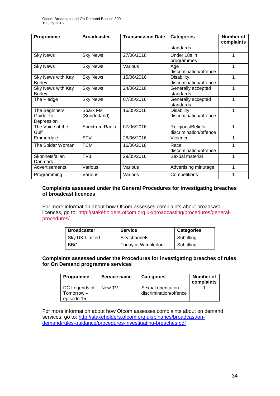| Programme                                 | <b>Broadcaster</b>       | <b>Transmission Date</b> | <b>Categories</b>                           | <b>Number of</b><br>complaints |
|-------------------------------------------|--------------------------|--------------------------|---------------------------------------------|--------------------------------|
|                                           |                          |                          | standards                                   |                                |
| <b>Sky News</b>                           | <b>Sky News</b>          | 27/06/2016               | Under 18s in<br>programmes                  | 1                              |
| <b>Sky News</b>                           | <b>Sky News</b>          | Various                  | Age<br>discrimination/offence               | 1                              |
| Sky News with Kay<br><b>Burley</b>        | <b>Sky News</b>          | 15/06/2016               | <b>Disability</b><br>discrimination/offence | 1                              |
| <b>Sky News with Kay</b><br><b>Burley</b> | <b>Sky News</b>          | 24/06/2016               | Generally accepted<br>standards             | 1                              |
| The Pledge                                | <b>Sky News</b>          | 07/05/2016               | Generally accepted<br>standards             | 1                              |
| The Beginners<br>Guide To<br>Depression   | Spark FM<br>(Sunderland) | 16/05/2016               | <b>Disability</b><br>discrimination/offence | 1                              |
| The Voice of the<br>Gulf                  | Spectrum Radio           | 07/06/2016               | Religious/Beliefs<br>discrimination/offence | 1                              |
| Emmerdale                                 | <b>STV</b>               | 28/06/2016               | Violence                                    | 1                              |
| The Spider Woman                          | <b>TCM</b>               | 16/06/2016               | Race<br>discrimination/offence              | 1                              |
| Skönhetsfällan<br>Danmark                 | TV3                      | 29/05/2016               | Sexual material                             | 1                              |
| Advertisements                            | Various                  | Various                  | Advertising minutage                        | 1                              |
| Programming                               | Various                  | Various                  | Competitions                                | 1                              |

## **Complaints assessed under the General Procedures for investigating breaches of broadcast licences**

For more information about how Ofcom assesses complaints about broadcast licences, go to: [http://stakeholders.ofcom.org.uk/broadcasting/procedures/general](http://stakeholders.ofcom.org.uk/broadcasting/procedures/general-procedures/)[procedures/](http://stakeholders.ofcom.org.uk/broadcasting/procedures/general-procedures/)

| <b>Broadcaster</b>    | <b>Service</b>     | <b>Categories</b> |
|-----------------------|--------------------|-------------------|
| <b>Sky UK Limited</b> | Sky channels       | Subtitling        |
| <b>BBC</b>            | Today at Wimbledon | Subtitling        |

#### **Complaints assessed under the Procedures for investigating breaches of rules for On Demand programme services**

| <b>Programme</b> | Service name | <b>Categories</b>      | Number of<br>complaints |
|------------------|--------------|------------------------|-------------------------|
| DC Legends of    | Now TV       | Sexual orientation     |                         |
| Tomorrow –       |              | discrimination/offence |                         |
| episode 15       |              |                        |                         |

For more information about how Ofcom assesses complaints about on demand services, go to: [http://stakeholders.ofcom.org.uk/binaries/broadcast/on](http://stakeholders.ofcom.org.uk/binaries/broadcast/on-demand/rules-guidance/procedures-investigating-breaches.pdf)[demand/rules-guidance/procedures-investigating-breaches.pdf](http://stakeholders.ofcom.org.uk/binaries/broadcast/on-demand/rules-guidance/procedures-investigating-breaches.pdf)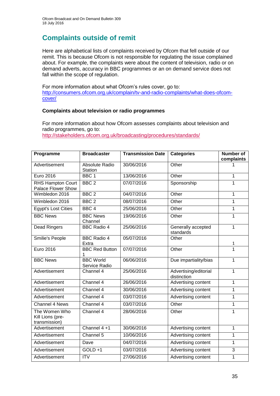## **Complaints outside of remit**

Here are alphabetical lists of complaints received by Ofcom that fell outside of our remit. This is because Ofcom is not responsible for regulating the issue complained about. For example, the complaints were about the content of television, radio or on demand adverts, accuracy in BBC programmes or an on demand service does not fall within the scope of regulation.

For more information about what Ofcom's rules cover, go to: [http://consumers.ofcom.org.uk/complain/tv-and-radio-complaints/what-does-ofcom](http://consumers.ofcom.org.uk/complain/tv-and-radio-complaints/what-does-ofcom-cover/)[cover/](http://consumers.ofcom.org.uk/complain/tv-and-radio-complaints/what-does-ofcom-cover/)

## **Complaints about television or radio programmes**

For more information about how Ofcom assesses complaints about television and radio programmes, go to: <http://stakeholders.ofcom.org.uk/broadcasting/procedures/standards/>

| Programme                                          | <b>Broadcaster</b>                | <b>Transmission Date</b> | <b>Categories</b>                    | <b>Number of</b><br>complaints |
|----------------------------------------------------|-----------------------------------|--------------------------|--------------------------------------|--------------------------------|
| Advertisement                                      | Absolute Radio<br>Station         | 30/06/2016               | Other                                |                                |
| <b>Euro 2016</b>                                   | BBC <sub>1</sub>                  | 13/06/2016               | Other                                | 1                              |
| RHS Hampton Court<br>Palace Flower Show            | BBC <sub>2</sub>                  | 07/07/2016               | Sponsorship                          | 1                              |
| Wimbledon 2016                                     | BBC <sub>2</sub>                  | 04/07/2016               | Other                                | 1                              |
| Wimbledon 2016                                     | BBC <sub>2</sub>                  | 08/07/2016               | Other                                | 1                              |
| <b>Egypt's Lost Cities</b>                         | BBC <sub>4</sub>                  | 25/06/2016               | Other                                | 1                              |
| <b>BBC News</b>                                    | <b>BBC News</b><br>Channel        | 19/06/2016               | Other                                | 1                              |
| <b>Dead Ringers</b>                                | <b>BBC Radio 4</b>                | 25/06/2016               | Generally accepted<br>standards      | 1                              |
| Smilie's People                                    | <b>BBC Radio 4</b><br>Extra       | 05/07/2016               | Other                                | 1                              |
| Euro 2016                                          | <b>BBC Red Button</b>             | 07/07/2016               | Other                                | 1                              |
| <b>BBC News</b>                                    | <b>BBC</b> World<br>Service Radio | 06/06/2016               | Due impartiality/bias                | 1                              |
| Advertisement                                      | Channel 4                         | 25/06/2016               | Advertising/editorial<br>distinction | 1                              |
| Advertisement                                      | Channel 4                         | 26/06/2016               | Advertising content                  | 1                              |
| Advertisement                                      | Channel 4                         | 30/06/2016               | Advertising content                  | 1                              |
| Advertisement                                      | Channel 4                         | 03/07/2016               | Advertising content                  | 1                              |
| <b>Channel 4 News</b>                              | Channel 4                         | 03/07/2016               | Other                                | 1                              |
| The Women Who<br>Kill Lions (pre-<br>transmission) | Channel 4                         | 28/06/2016               | Other                                | 1                              |
| Advertisement                                      | Channel 4+1                       | 30/06/2016               | Advertising content                  | 1                              |
| Advertisement                                      | Channel 5                         | 10/06/2016               | Advertising content                  | 1                              |
| Advertisement                                      | Dave                              | 04/07/2016               | Advertising content                  | 1                              |
| Advertisement                                      | $GOLD + 1$                        | 03/07/2016               | Advertising content                  | 3                              |
| Advertisement                                      | <b>ITV</b>                        | 27/06/2016               | Advertising content                  | 1                              |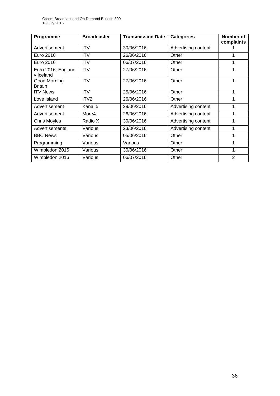| Programme                       | <b>Broadcaster</b> | <b>Transmission Date</b> | <b>Categories</b>   | Number of<br>complaints |
|---------------------------------|--------------------|--------------------------|---------------------|-------------------------|
| Advertisement                   | <b>ITV</b>         | 30/06/2016               | Advertising content |                         |
| Euro 2016                       | <b>ITV</b>         | 26/06/2016               | Other               |                         |
| Euro 2016                       | <b>ITV</b>         | 06/07/2016               | Other               | 1                       |
| Euro 2016: England<br>v Iceland | <b>ITV</b>         | 27/06/2016               | Other               | 1                       |
| Good Morning<br><b>Britain</b>  | <b>ITV</b>         | 27/06/2016               | Other               |                         |
| <b>ITV News</b>                 | <b>ITV</b>         | 25/06/2016               | Other               | 1                       |
| Love Island                     | ITV <sub>2</sub>   | 26/06/2016               | Other               | 1                       |
| Advertisement                   | Kanal 5            | 29/06/2016               | Advertising content | 1                       |
| Advertisement                   | More4              | 26/06/2016               | Advertising content | 1                       |
| <b>Chris Moyles</b>             | Radio X            | 30/06/2016               | Advertising content | 1                       |
| Advertisements                  | Various            | 23/06/2016               | Advertising content | 1                       |
| <b>BBC News</b>                 | Various            | 05/06/2016               | Other               |                         |
| Programming                     | Various            | Various                  | Other               | 1                       |
| Wimbledon 2016                  | Various            | 30/06/2016               | Other               | 1                       |
| Wimbledon 2016                  | Various            | 06/07/2016               | Other               | $\overline{2}$          |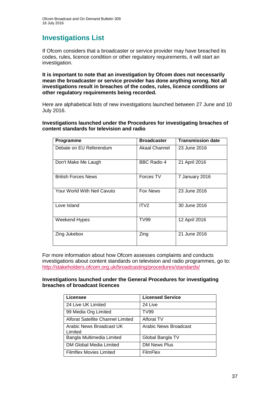## **Investigations List**

If Ofcom considers that a broadcaster or service provider may have breached its codes, rules, licence condition or other regulatory requirements, it will start an investigation.

**It is important to note that an investigation by Ofcom does not necessarily mean the broadcaster or service provider has done anything wrong. Not all investigations result in breaches of the codes, rules, licence conditions or other regulatory requirements being recorded.**

Here are alphabetical lists of new investigations launched between 27 June and 10 July 2016.

**Investigations launched under the Procedures for investigating breaches of content standards for television and radio**

| Programme                   | <b>Broadcaster</b> | <b>Transmission date</b> |
|-----------------------------|--------------------|--------------------------|
| Debate on EU Referendum     | Akaal Channel      | 23 June 2016             |
| Don't Make Me Laugh         | BBC Radio 4        | 21 April 2016            |
| <b>British Forces News</b>  | Forces TV          | 7 January 2016           |
| Your World With Neil Cavuto | <b>Fox News</b>    | 23 June 2016             |
| Love Island                 | ITV <sub>2</sub>   | 30 June 2016             |
| Weekend Hypes               | <b>TV99</b>        | 12 April 2016            |
| Zing Jukebox                | Zing               | 21 June 2016             |

For more information about how Ofcom assesses complaints and conducts investigations about content standards on television and radio programmes, go to: <http://stakeholders.ofcom.org.uk/broadcasting/procedures/standards/>

#### **Investigations launched under the General Procedures for investigating breaches of broadcast licences**

| Licensee                            | <b>Licensed Service</b> |  |
|-------------------------------------|-------------------------|--|
| 24 Live UK Limited                  | 24 Live                 |  |
| 99 Media Org Limited                | <b>TV99</b>             |  |
| Alforat Satellite Channel Limited   | Alforat TV              |  |
| Arabic News Broadcast UK<br>Limited | Arabic News Broadcast   |  |
| Bangla Multimedia Limited           | Global Bangla TV        |  |
| DM Global Media Limited             | <b>DM News Plus</b>     |  |
| <b>Filmflex Movies Limited</b>      | <b>FilmFlex</b>         |  |